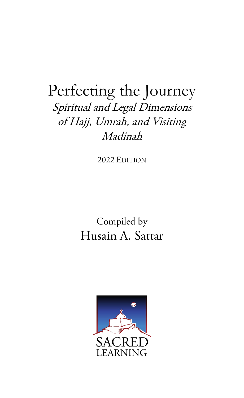# Perfecting the Journey Spiritual and Legal Dimensions of Hajj, Umrah, and Visiting Madinah

2022 EDITION

Compiled by Husain A. Sattar

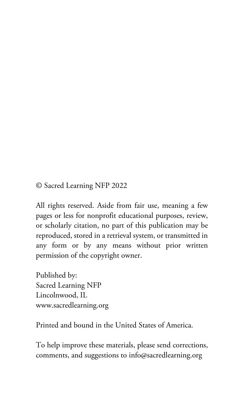© Sacred Learning NFP 2022

All rights reserved. Aside from fair use, meaning a few pages or less for nonprofit educational purposes, review, or scholarly citation, no part of this publication may be reproduced, stored in a retrieval system, or transmitted in any form or by any means without prior written permission of the copyright owner.

Published by: Sacred Learning NFP Lincolnwood, IL www.sacredlearning.org

Printed and bound in the United States of America.

To help improve these materials, please send corrections, comments, and suggestions to info@sacredlearning.org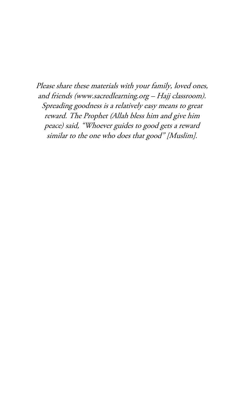Please share these materials with your family, loved ones, and friends (www.sacredlearning.org – Hajj classroom). Spreading goodness is a relatively easy means to great reward. The Prophet (Allah bless him and give him peace) said, "Whoever guides to good gets a reward similar to the one who does that good" [Muslim].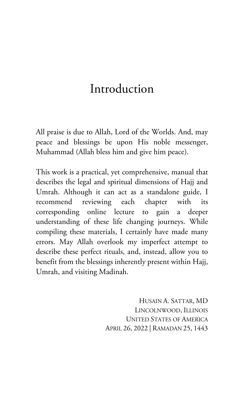# Introduction

All praise is due to Allah, Lord of the Worlds. And, may peace and blessings be upon His noble messenger, Muhammad (Allah bless him and give him peace).

This work is a practical, yet comprehensive, manual that describes the legal and spiritual dimensions of Hajj and Umrah. Although it can act as a standalone guide, I recommend reviewing each chapter with its corresponding online lecture to gain a deeper understanding of these life changing journeys. While compiling these materials, I certainly have made many errors. May Allah overlook my imperfect attempt to describe these perfect rituals, and, instead, allow you to benefit from the blessings inherently present within Hajj, Umrah, and visiting Madinah.

> HUSAIN A. SATTAR, MD LINCOLNWOOD, ILLINOIS UNITED STATES OF AMERICA APRIL 26, 2022 | RAMADAN 25, 1443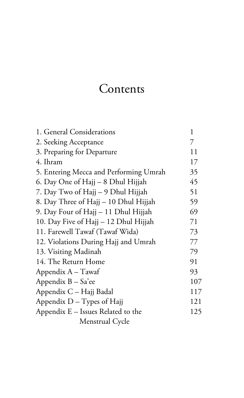# Contents

| 1. General Considerations              | 1   |
|----------------------------------------|-----|
| 2. Seeking Acceptance                  | 7   |
| 3. Preparing for Departure             | 11  |
| 4. Ihram                               | 17  |
| 5. Entering Mecca and Performing Umrah | 35  |
| 6. Day One of Hajj – 8 Dhul Hijjah     | 45  |
| 7. Day Two of Hajj - 9 Dhul Hijjah     | 51  |
| 8. Day Three of Hajj - 10 Dhul Hijjah  | 59  |
| 9. Day Four of Hajj – 11 Dhul Hijjah   | 69  |
| 10. Day Five of Hajj - 12 Dhul Hijjah  | 71  |
| 11. Farewell Tawaf (Tawaf Wida)        | 73  |
| 12. Violations During Hajj and Umrah   | 77  |
| 13. Visiting Madinah                   | 79  |
| 14. The Return Home                    | 91  |
| Appendix $A - T$ awaf                  | 93  |
| Appendix B - Sa'ee                     | 107 |
| Appendix C - Hajj Badal                | 117 |
| Appendix $D - Types$ of Hajj           | 121 |
| Appendix E - Issues Related to the     | 125 |
| Menstrual Cycle                        |     |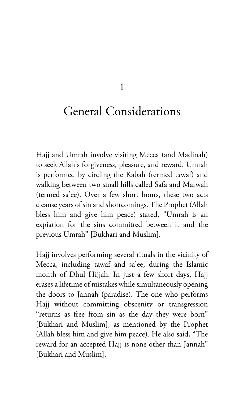1

# General Considerations

Hajj and Umrah involve visiting Mecca (and Madinah) to seek Allah's forgiveness, pleasure, and reward. Umrah is performed by circling the Kabah (termed tawaf) and walking between two small hills called Safa and Marwah (termed sa'ee). Over a few short hours, these two acts cleanse years of sin and shortcomings. The Prophet (Allah bless him and give him peace) stated, "Umrah is an expiation for the sins committed between it and the previous Umrah" [Bukhari and Muslim].

Hajj involves performing several rituals in the vicinity of Mecca, including tawaf and sa'ee, during the Islamic month of Dhul Hijjah. In just a few short days, Hajj erases a lifetime of mistakes while simultaneously opening the doors to Jannah (paradise). The one who performs Hajj without committing obscenity or transgression "returns as free from sin as the day they were born" [Bukhari and Muslim], as mentioned by the Prophet (Allah bless him and give him peace). He also said, "The reward for an accepted Hajj is none other than Jannah" [Bukhari and Muslim].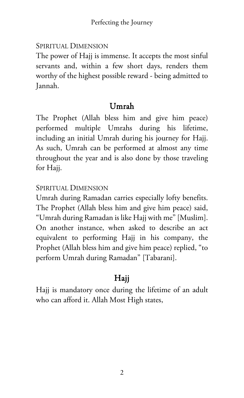#### SPIRITUAL DIMENSION

The power of Hajj is immense. It accepts the most sinful servants and, within a few short days, renders them worthy of the highest possible reward - being admitted to Jannah.

## Umrah

The Prophet (Allah bless him and give him peace) performed multiple Umrahs during his lifetime, including an initial Umrah during his journey for Hajj. As such, Umrah can be performed at almost any time throughout the year and is also done by those traveling for Hajj.

## SPIRITUAL DIMENSION

Umrah during Ramadan carries especially lofty benefits. The Prophet (Allah bless him and give him peace) said, "Umrah during Ramadan is like Hajj with me" [Muslim]. On another instance, when asked to describe an act equivalent to performing Hajj in his company, the Prophet (Allah bless him and give him peace) replied, "to perform Umrah during Ramadan" [Tabarani].

## Hajj

Hajj is mandatory once during the lifetime of an adult who can afford it. Allah Most High states,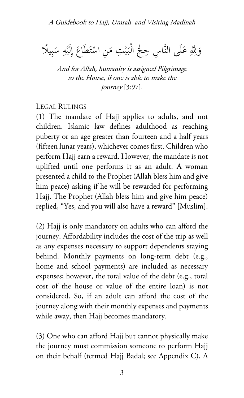وَلِّهِ عَلَى النَّاسِ حِجُّ الْبَيْتِ مَنِ اسْتَطَاعَ إِلَيْهِ سَبِيلًا  $\frac{1}{2}$ **ء ∶** ٍ<br>ٍ∫ ت ْ **∶** ي  $\ddot{\cdot}$ 

And for Allah, humanity is assigned Pilgrimage to the House, if one is able to make the journey [3:97].

#### LEGAL RULINGS

(1) The mandate of Hajj applies to adults, and not children. Islamic law defines adulthood as reaching puberty or an age greater than fourteen and a half years (fifteen lunar years), whichever comes first. Children who perform Hajj earn a reward. However, the mandate is not uplifted until one performs it as an adult. A woman presented a child to the Prophet (Allah bless him and give him peace) asking if he will be rewarded for performing Hajj. The Prophet (Allah bless him and give him peace) replied, "Yes, and you will also have a reward" [Muslim].

(2) Hajj is only mandatory on adults who can afford the journey. Affordability includes the cost of the trip as well as any expenses necessary to support dependents staying behind. Monthly payments on long-term debt (e.g., home and school payments) are included as necessary expenses; however, the total value of the debt (e.g., total cost of the house or value of the entire loan) is not considered. So, if an adult can afford the cost of the journey along with their monthly expenses and payments while away, then Hajj becomes mandatory.

(3) One who can afford Hajj but cannot physically make the journey must commission someone to perform Hajj on their behalf (termed Hajj Badal; see Appendix C). A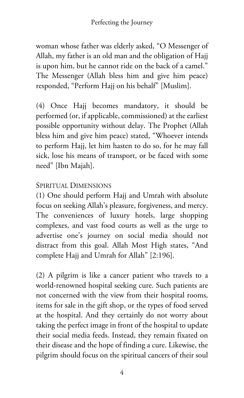woman whose father was elderly asked, "O Messenger of Allah, my father is an old man and the obligation of Hajj is upon him, but he cannot ride on the back of a camel." The Messenger (Allah bless him and give him peace) responded, "Perform Hajj on his behalf" [Muslim].

(4) Once Hajj becomes mandatory, it should be performed (or, if applicable, commissioned) at the earliest possible opportunity without delay. The Prophet (Allah bless him and give him peace) stated, "Whoever intends to perform Hajj, let him hasten to do so, for he may fall sick, lose his means of transport, or be faced with some need" [Ibn Majah].

#### SPIRITUAL DIMENSIONS

(1) One should perform Hajj and Umrah with absolute focus on seeking Allah's pleasure, forgiveness, and mercy. The conveniences of luxury hotels, large shopping complexes, and vast food courts as well as the urge to advertise one's journey on social media should not distract from this goal. Allah Most High states, "And complete Hajj and Umrah for Allah" [2:196].

(2) A pilgrim is like a cancer patient who travels to a world-renowned hospital seeking cure. Such patients are not concerned with the view from their hospital rooms, items for sale in the gift shop, or the types of food served at the hospital. And they certainly do not worry about taking the perfect image in front of the hospital to update their social media feeds. Instead, they remain fixated on their disease and the hope of finding a cure. Likewise, the pilgrim should focus on the spiritual cancers of their soul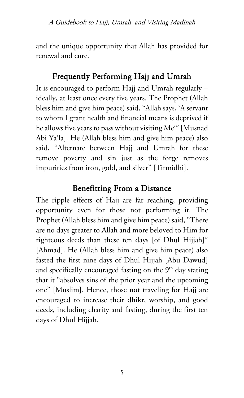and the unique opportunity that Allah has provided for renewal and cure.

## Frequently Performing Hajj and Umrah

It is encouraged to perform Hajj and Umrah regularly – ideally, at least once every five years. The Prophet (Allah bless him and give him peace) said, "Allah says, 'A servant to whom I grant health and financial means is deprived if he allows five years to pass without visiting Me'" [Musnad Abi Ya'la]. He (Allah bless him and give him peace) also said, "Alternate between Hajj and Umrah for these remove poverty and sin just as the forge removes impurities from iron, gold, and silver" [Tirmidhi].

## Benefitting From a Distance

The ripple effects of Hajj are far reaching, providing opportunity even for those not performing it. The Prophet (Allah bless him and give him peace) said, "There are no days greater to Allah and more beloved to Him for righteous deeds than these ten days [of Dhul Hijjah]" [Ahmad]. He (Allah bless him and give him peace) also fasted the first nine days of Dhul Hijjah [Abu Dawud] and specifically encouraged fasting on the  $9<sup>th</sup>$  day stating that it "absolves sins of the prior year and the upcoming one" [Muslim]. Hence, those not traveling for Hajj are encouraged to increase their dhikr, worship, and good deeds, including charity and fasting, during the first ten days of Dhul Hijjah.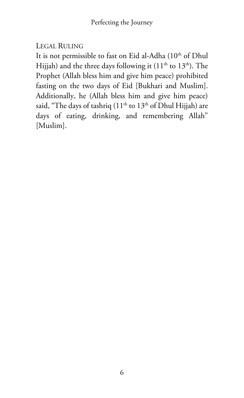## LEGAL RULING

It is not permissible to fast on Eid al-Adha (10<sup>th</sup> of Dhul Hijjah) and the three days following it  $(11<sup>th</sup>$  to  $13<sup>th</sup>)$ . The Prophet (Allah bless him and give him peace) prohibited fasting on the two days of Eid [Bukhari and Muslim]. Additionally, he (Allah bless him and give him peace) said, "The days of tashriq  $(11<sup>th</sup>$  to  $13<sup>th</sup>$  of Dhul Hijjah) are days of eating, drinking, and remembering Allah" [Muslim].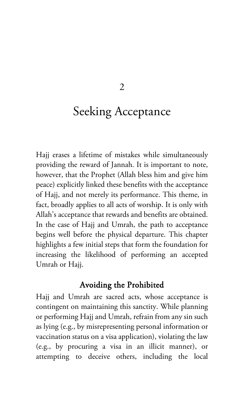$\overline{2}$ 

# Seeking Acceptance

Hajj erases a lifetime of mistakes while simultaneously providing the reward of Jannah. It is important to note, however, that the Prophet (Allah bless him and give him peace) explicitly linked these benefits with the acceptance of Hajj, and not merely its performance. This theme, in fact, broadly applies to all acts of worship. It is only with Allah's acceptance that rewards and benefits are obtained. In the case of Hajj and Umrah, the path to acceptance begins well before the physical departure. This chapter highlights a few initial steps that form the foundation for increasing the likelihood of performing an accepted Umrah or Hajj.

#### Avoiding the Prohibited

Hajj and Umrah are sacred acts, whose acceptance is contingent on maintaining this sanctity. While planning or performing Hajj and Umrah, refrain from any sin such as lying (e.g., by misrepresenting personal information or vaccination status on a visa application), violating the law (e.g., by procuring a visa in an illicit manner), or attempting to deceive others, including the local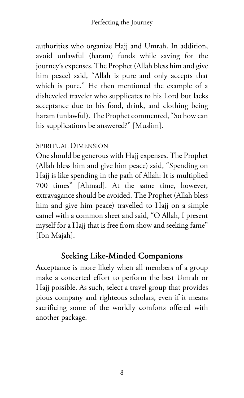authorities who organize Hajj and Umrah. In addition, avoid unlawful (haram) funds while saving for the journey's expenses. The Prophet (Allah bless him and give him peace) said, "Allah is pure and only accepts that which is pure." He then mentioned the example of a disheveled traveler who supplicates to his Lord but lacks acceptance due to his food, drink, and clothing being haram (unlawful). The Prophet commented, "So how can his supplications be answered?" [Muslim].

## SPIRITUAL DIMENSION

One should be generous with Hajj expenses. The Prophet (Allah bless him and give him peace) said, "Spending on Hajj is like spending in the path of Allah: It is multiplied 700 times" [Ahmad]. At the same time, however, extravagance should be avoided. The Prophet (Allah bless him and give him peace) travelled to Hajj on a simple camel with a common sheet and said, "O Allah, I present myself for a Hajj that is free from show and seeking fame" [Ibn Majah].

## Seeking Like-Minded Companions

Acceptance is more likely when all members of a group make a concerted effort to perform the best Umrah or Hajj possible. As such, select a travel group that provides pious company and righteous scholars, even if it means sacrificing some of the worldly comforts offered with another package.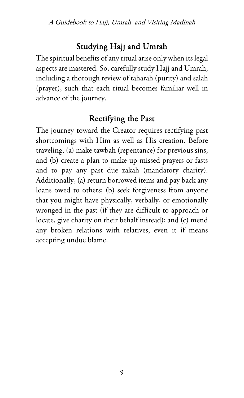## Studying Hajj and Umrah

The spiritual benefits of any ritual arise only when its legal aspects are mastered. So, carefully study Hajj and Umrah, including a thorough review of taharah (purity) and salah (prayer), such that each ritual becomes familiar well in advance of the journey.

## Rectifying the Past

The journey toward the Creator requires rectifying past shortcomings with Him as well as His creation. Before traveling, (a) make tawbah (repentance) for previous sins, and (b) create a plan to make up missed prayers or fasts and to pay any past due zakah (mandatory charity). Additionally, (a) return borrowed items and pay back any loans owed to others; (b) seek forgiveness from anyone that you might have physically, verbally, or emotionally wronged in the past (if they are difficult to approach or locate, give charity on their behalf instead); and (c) mend any broken relations with relatives, even it if means accepting undue blame.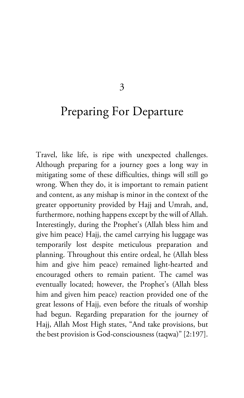#### 3

# Preparing For Departure

Travel, like life, is ripe with unexpected challenges. Although preparing for a journey goes a long way in mitigating some of these difficulties, things will still go wrong. When they do, it is important to remain patient and content, as any mishap is minor in the context of the greater opportunity provided by Hajj and Umrah, and, furthermore, nothing happens except by the will of Allah. Interestingly, during the Prophet's (Allah bless him and give him peace) Hajj, the camel carrying his luggage was temporarily lost despite meticulous preparation and planning. Throughout this entire ordeal, he (Allah bless him and give him peace) remained light-hearted and encouraged others to remain patient. The camel was eventually located; however, the Prophet's (Allah bless him and given him peace) reaction provided one of the great lessons of Hajj, even before the rituals of worship had begun. Regarding preparation for the journey of Hajj, Allah Most High states, "And take provisions, but the best provision is God-consciousness (taqwa)" [2:197].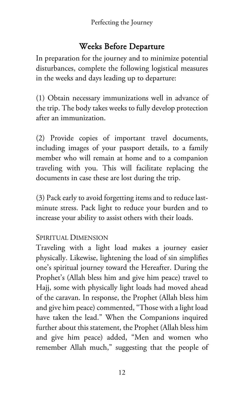## Weeks Before Departure

In preparation for the journey and to minimize potential disturbances, complete the following logistical measures in the weeks and days leading up to departure:

(1) Obtain necessary immunizations well in advance of the trip. The body takes weeks to fully develop protection after an immunization.

(2) Provide copies of important travel documents, including images of your passport details, to a family member who will remain at home and to a companion traveling with you. This will facilitate replacing the documents in case these are lost during the trip.

(3) Pack early to avoid forgetting items and to reduce lastminute stress. Pack light to reduce your burden and to increase your ability to assist others with their loads.

## SPIRITUAL DIMENSION

Traveling with a light load makes a journey easier physically. Likewise, lightening the load of sin simplifies one's spiritual journey toward the Hereafter. During the Prophet's (Allah bless him and give him peace) travel to Hajj, some with physically light loads had moved ahead of the caravan. In response, the Prophet (Allah bless him and give him peace) commented, "Those with a light load have taken the lead." When the Companions inquired further about this statement, the Prophet (Allah bless him and give him peace) added, "Men and women who remember Allah much," suggesting that the people of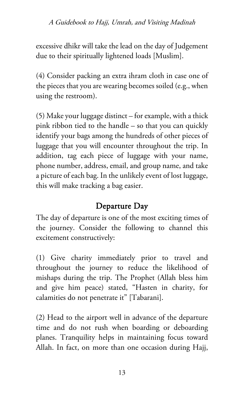#### A Guidebook to Hajj, Umrah, and Visiting Madinah

excessive dhikr will take the lead on the day of Judgement due to their spiritually lightened loads [Muslim].

(4) Consider packing an extra ihram cloth in case one of the pieces that you are wearing becomes soiled (e.g., when using the restroom).

(5) Make your luggage distinct – for example, with a thick pink ribbon tied to the handle – so that you can quickly identify your bags among the hundreds of other pieces of luggage that you will encounter throughout the trip. In addition, tag each piece of luggage with your name, phone number, address, email, and group name, and take a picture of each bag. In the unlikely event of lost luggage, this will make tracking a bag easier.

## Departure Day

The day of departure is one of the most exciting times of the journey. Consider the following to channel this excitement constructively:

(1) Give charity immediately prior to travel and throughout the journey to reduce the likelihood of mishaps during the trip. The Prophet (Allah bless him and give him peace) stated, "Hasten in charity, for calamities do not penetrate it" [Tabarani].

(2) Head to the airport well in advance of the departure time and do not rush when boarding or deboarding planes. Tranquility helps in maintaining focus toward Allah. In fact, on more than one occasion during Hajj,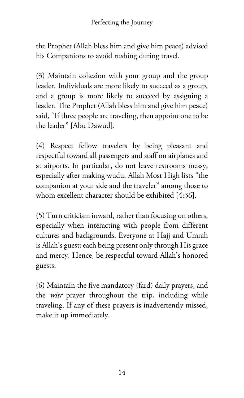the Prophet (Allah bless him and give him peace) advised his Companions to avoid rushing during travel.

(3) Maintain cohesion with your group and the group leader. Individuals are more likely to succeed as a group, and a group is more likely to succeed by assigning a leader. The Prophet (Allah bless him and give him peace) said, "If three people are traveling, then appoint one to be the leader" [Abu Dawud].

(4) Respect fellow travelers by being pleasant and respectful toward all passengers and staff on airplanes and at airports. In particular, do not leave restrooms messy, especially after making wudu. Allah Most High lists "the companion at your side and the traveler" among those to whom excellent character should be exhibited [4:36].

(5) Turn criticism inward, rather than focusing on others, especially when interacting with people from different cultures and backgrounds. Everyone at Hajj and Umrah is Allah's guest; each being present only through His grace and mercy. Hence, be respectful toward Allah's honored guests.

(6) Maintain the five mandatory (fard) daily prayers, and the *witr* prayer throughout the trip, including while traveling. If any of these prayers is inadvertently missed, make it up immediately.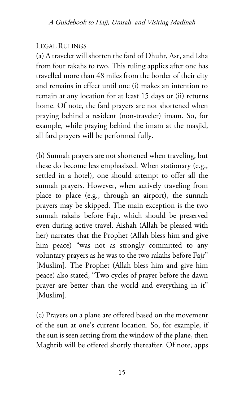## LEGAL RULINGS

(a) A traveler will shorten the fard of Dhuhr, Asr, and Isha from four rakahs to two. This ruling applies after one has travelled more than 48 miles from the border of their city and remains in effect until one (i) makes an intention to remain at any location for at least 15 days or (ii) returns home. Of note, the fard prayers are not shortened when praying behind a resident (non-traveler) imam. So, for example, while praying behind the imam at the masjid, all fard prayers will be performed fully.

(b) Sunnah prayers are not shortened when traveling, but these do become less emphasized. When stationary (e.g., settled in a hotel), one should attempt to offer all the sunnah prayers. However, when actively traveling from place to place (e.g., through an airport), the sunnah prayers may be skipped. The main exception is the two sunnah rakahs before Fajr, which should be preserved even during active travel. Aishah (Allah be pleased with her) narrates that the Prophet (Allah bless him and give him peace) "was not as strongly committed to any voluntary prayers as he was to the two rakahs before Fajr" [Muslim]. The Prophet (Allah bless him and give him peace) also stated, "Two cycles of prayer before the dawn prayer are better than the world and everything in it" [Muslim].

(c) Prayers on a plane are offered based on the movement of the sun at one's current location. So, for example, if the sun is seen setting from the window of the plane, then Maghrib will be offered shortly thereafter. Of note, apps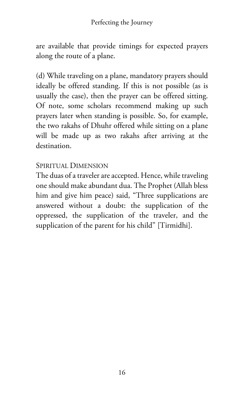are available that provide timings for expected prayers along the route of a plane.

(d) While traveling on a plane, mandatory prayers should ideally be offered standing. If this is not possible (as is usually the case), then the prayer can be offered sitting. Of note, some scholars recommend making up such prayers later when standing is possible. So, for example, the two rakahs of Dhuhr offered while sitting on a plane will be made up as two rakahs after arriving at the destination.

#### SPIRITUAL DIMENSION

The duas of a traveler are accepted. Hence, while traveling one should make abundant dua. The Prophet (Allah bless him and give him peace) said, "Three supplications are answered without a doubt: the supplication of the oppressed, the supplication of the traveler, and the supplication of the parent for his child" [Tirmidhi].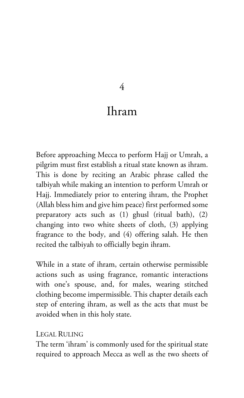#### 4

# Ihram

Before approaching Mecca to perform Hajj or Umrah, a pilgrim must first establish a ritual state known as ihram. This is done by reciting an Arabic phrase called the talbiyah while making an intention to perform Umrah or Hajj. Immediately prior to entering ihram, the Prophet (Allah bless him and give him peace) first performed some preparatory acts such as (1) ghusl (ritual bath), (2) changing into two white sheets of cloth, (3) applying fragrance to the body, and (4) offering salah. He then recited the talbiyah to officially begin ihram.

While in a state of ihram, certain otherwise permissible actions such as using fragrance, romantic interactions with one's spouse, and, for males, wearing stitched clothing become impermissible. This chapter details each step of entering ihram, as well as the acts that must be avoided when in this holy state.

#### LEGAL RULING

The term 'ihram' is commonly used for the spiritual state required to approach Mecca as well as the two sheets of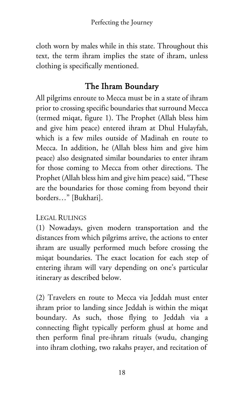cloth worn by males while in this state. Throughout this text, the term ihram implies the state of ihram, unless clothing is specifically mentioned.

## The Ihram Boundary

All pilgrims enroute to Mecca must be in a state of ihram prior to crossing specific boundaries that surround Mecca (termed miqat, figure 1). The Prophet (Allah bless him and give him peace) entered ihram at Dhul Hulayfah, which is a few miles outside of Madinah en route to Mecca. In addition, he (Allah bless him and give him peace) also designated similar boundaries to enter ihram for those coming to Mecca from other directions. The Prophet (Allah bless him and give him peace) said, "These are the boundaries for those coming from beyond their borders…" [Bukhari].

## LEGAL RULINGS

(1) Nowadays, given modern transportation and the distances from which pilgrims arrive, the actions to enter ihram are usually performed much before crossing the miqat boundaries. The exact location for each step of entering ihram will vary depending on one's particular itinerary as described below.

(2) Travelers en route to Mecca via Jeddah must enter ihram prior to landing since Jeddah is within the miqat boundary. As such, those flying to Jeddah via a connecting flight typically perform ghusl at home and then perform final pre-ihram rituals (wudu, changing into ihram clothing, two rakahs prayer, and recitation of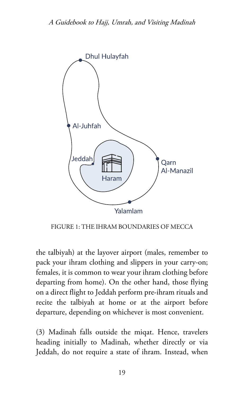

FIGURE 1: THE IHRAM BOUNDARIES OF MECCA

the talbiyah) at the layover airport (males, remember to pack your ihram clothing and slippers in your carry-on; females, it is common to wear your ihram clothing before departing from home). On the other hand, those flying on a direct flight to Jeddah perform pre-ihram rituals and recite the talbiyah at home or at the airport before departure, depending on whichever is most convenient.

(3) Madinah falls outside the miqat. Hence, travelers heading initially to Madinah, whether directly or via Jeddah, do not require a state of ihram. Instead, when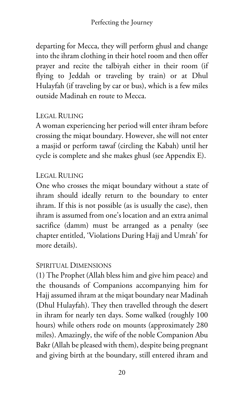departing for Mecca, they will perform ghusl and change into the ihram clothing in their hotel room and then offer prayer and recite the talbiyah either in their room (if flying to Jeddah or traveling by train) or at Dhul Hulayfah (if traveling by car or bus), which is a few miles outside Madinah en route to Mecca.

## LEGAL RULING

A woman experiencing her period will enter ihram before crossing the miqat boundary. However, she will not enter a masjid or perform tawaf (circling the Kabah) until her cycle is complete and she makes ghusl (see Appendix E).

## LEGAL RULING

One who crosses the miqat boundary without a state of ihram should ideally return to the boundary to enter ihram. If this is not possible (as is usually the case), then ihram is assumed from one's location and an extra animal sacrifice (damm) must be arranged as a penalty (see chapter entitled, 'Violations During Hajj and Umrah' for more details).

## SPIRITUAL DIMENSIONS

(1) The Prophet (Allah bless him and give him peace) and the thousands of Companions accompanying him for Hajj assumed ihram at the miqat boundary near Madinah (Dhul Hulayfah). They then travelled through the desert in ihram for nearly ten days. Some walked (roughly 100 hours) while others rode on mounts (approximately 280 miles). Amazingly, the wife of the noble Companion Abu Bakr (Allah be pleased with them), despite being pregnant and giving birth at the boundary, still entered ihram and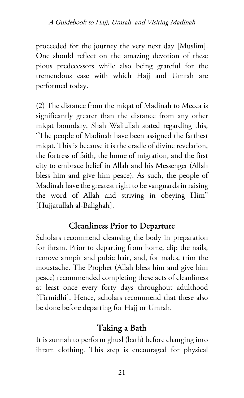proceeded for the journey the very next day [Muslim]. One should reflect on the amazing devotion of these pious predecessors while also being grateful for the tremendous ease with which Hajj and Umrah are performed today.

(2) The distance from the miqat of Madinah to Mecca is significantly greater than the distance from any other miqat boundary. Shah Waliullah stated regarding this, "The people of Madinah have been assigned the farthest miqat. This is because it is the cradle of divine revelation, the fortress of faith, the home of migration, and the first city to embrace belief in Allah and his Messenger (Allah bless him and give him peace). As such, the people of Madinah have the greatest right to be vanguards in raising the word of Allah and striving in obeying Him" [Hujjatullah al-Balighah].

## Cleanliness Prior to Departure

Scholars recommend cleansing the body in preparation for ihram. Prior to departing from home, clip the nails, remove armpit and pubic hair, and, for males, trim the moustache. The Prophet (Allah bless him and give him peace) recommended completing these acts of cleanliness at least once every forty days throughout adulthood [Tirmidhi]. Hence, scholars recommend that these also be done before departing for Hajj or Umrah.

## Taking a Bath

It is sunnah to perform ghusl (bath) before changing into ihram clothing. This step is encouraged for physical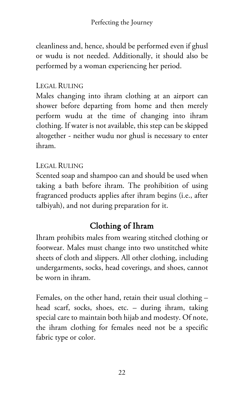cleanliness and, hence, should be performed even if ghusl or wudu is not needed. Additionally, it should also be performed by a woman experiencing her period.

## LEGAL RULING

Males changing into ihram clothing at an airport can shower before departing from home and then merely perform wudu at the time of changing into ihram clothing. If water is not available, this step can be skipped altogether - neither wudu nor ghusl is necessary to enter ihram.

## LEGAL RULING

Scented soap and shampoo can and should be used when taking a bath before ihram. The prohibition of using fragranced products applies after ihram begins (i.e., after talbiyah), and not during preparation for it.

# Clothing of Ihram

Ihram prohibits males from wearing stitched clothing or footwear. Males must change into two unstitched white sheets of cloth and slippers. All other clothing, including undergarments, socks, head coverings, and shoes, cannot be worn in ihram.

Females, on the other hand, retain their usual clothing – head scarf, socks, shoes, etc. – during ihram, taking special care to maintain both hijab and modesty. Of note, the ihram clothing for females need not be a specific fabric type or color.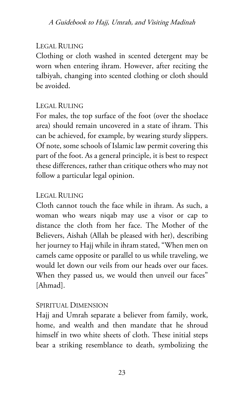#### LEGAL RULING

Clothing or cloth washed in scented detergent may be worn when entering ihram. However, after reciting the talbiyah, changing into scented clothing or cloth should be avoided.

## LEGAL RULING

For males, the top surface of the foot (over the shoelace area) should remain uncovered in a state of ihram. This can be achieved, for example, by wearing sturdy slippers. Of note, some schools of Islamic law permit covering this part of the foot. As a general principle, it is best to respect these differences, rather than critique others who may not follow a particular legal opinion.

#### LEGAL RULING

Cloth cannot touch the face while in ihram. As such, a woman who wears niqab may use a visor or cap to distance the cloth from her face. The Mother of the Believers, Aishah (Allah be pleased with her), describing her journey to Hajj while in ihram stated, "When men on camels came opposite or parallel to us while traveling, we would let down our veils from our heads over our faces. When they passed us, we would then unveil our faces" [Ahmad].

#### SPIRITUAL DIMENSION

Hajj and Umrah separate a believer from family, work, home, and wealth and then mandate that he shroud himself in two white sheets of cloth. These initial steps bear a striking resemblance to death, symbolizing the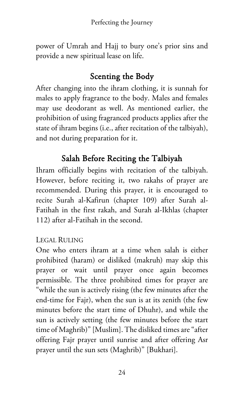power of Umrah and Hajj to bury one's prior sins and provide a new spiritual lease on life.

## Scenting the Body

After changing into the ihram clothing, it is sunnah for males to apply fragrance to the body. Males and females may use deodorant as well. As mentioned earlier, the prohibition of using fragranced products applies after the state of ihram begins (i.e., after recitation of the talbiyah), and not during preparation for it.

## Salah Before Reciting the Talbiyah

Ihram officially begins with recitation of the talbiyah. However, before reciting it, two rakahs of prayer are recommended. During this prayer, it is encouraged to recite Surah al-Kafirun (chapter 109) after Surah al-Fatihah in the first rakah, and Surah al-Ikhlas (chapter 112) after al-Fatihah in the second.

## LEGAL RULING

One who enters ihram at a time when salah is either prohibited (haram) or disliked (makruh) may skip this prayer or wait until prayer once again becomes permissible. The three prohibited times for prayer are "while the sun is actively rising (the few minutes after the end-time for Fajr), when the sun is at its zenith (the few minutes before the start time of Dhuhr), and while the sun is actively setting (the few minutes before the start time of Maghrib)" [Muslim]. The disliked times are "after offering Fajr prayer until sunrise and after offering Asr prayer until the sun sets (Maghrib)" [Bukhari].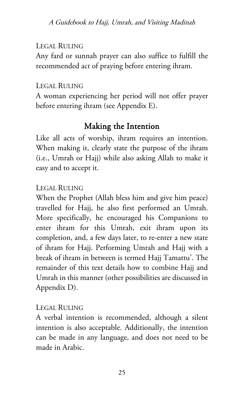#### LEGAL RULING

Any fard or sunnah prayer can also suffice to fulfill the recommended act of praying before entering ihram.

#### LEGAL RULING

A woman experiencing her period will not offer prayer before entering ihram (see Appendix E).

## Making the Intention

Like all acts of worship, ihram requires an intention. When making it, clearly state the purpose of the ihram (i.e., Umrah or Hajj) while also asking Allah to make it easy and to accept it.

#### LEGAL RULING

When the Prophet (Allah bless him and give him peace) travelled for Hajj, he also first performed an Umrah. More specifically, he encouraged his Companions to enter ihram for this Umrah, exit ihram upon its completion, and, a few days later, to re-enter a new state of ihram for Hajj. Performing Umrah and Hajj with a break of ihram in between is termed Hajj Tamattu'. The remainder of this text details how to combine Hajj and Umrah in this manner (other possibilities are discussed in Appendix D).

#### LEGAL RULING

A verbal intention is recommended, although a silent intention is also acceptable. Additionally, the intention can be made in any language, and does not need to be made in Arabic.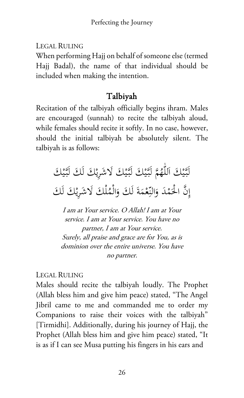LEGAL RULING

When performing Hajj on behalf of someone else (termed Hajj Badal), the name of that individual should be included when making the intention.

## Talbiyah

Recitation of the talbiyah officially begins ihram. Males are encouraged (sunnah) to recite the talbiyah aloud, while females should recite it softly. In no case, however, should the initial talbiyah be absolutely silent. The talbiyah is as follows:

لَّتَيْكَ اللَّهُمَّ لَبَّيْكَ لَبَّيْكَ لَاشْرِيْكَ لَكَ لَبَّيْكَ ي ي ي ي إِنَّ الْحَمْدَ وَالنِّعْمَةَ لَكَ وَالْمُلْكَ لَاشْرِيْكَ لَكَ َ  $\ddot{\phantom{0}}$ .<br>.

I am at Your service. O Allah! I am at Your service. I am at Your service. You have no partner, I am at Your service. Surely, all praise and grace are for You, as is dominion over the entire universe. You have no partner.

#### LEGAL RULING

Males should recite the talbiyah loudly. The Prophet (Allah bless him and give him peace) stated, "The Angel Jibril came to me and commanded me to order my Companions to raise their voices with the talbiyah" [Tirmidhi]. Additionally, during his journey of Hajj, the Prophet (Allah bless him and give him peace) stated, "It is as if I can see Musa putting his fingers in his ears and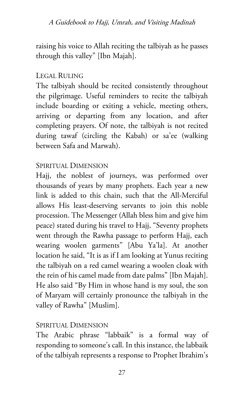#### A Guidebook to Hajj, Umrah, and Visiting Madinah

raising his voice to Allah reciting the talbiyah as he passes through this valley" [Ibn Majah].

#### LEGAL RULING

The talbiyah should be recited consistently throughout the pilgrimage. Useful reminders to recite the talbiyah include boarding or exiting a vehicle, meeting others, arriving or departing from any location, and after completing prayers. Of note, the talbiyah is not recited during tawaf (circling the Kabah) or sa'ee (walking between Safa and Marwah).

#### SPIRITUAL DIMENSION

Hajj, the noblest of journeys, was performed over thousands of years by many prophets. Each year a new link is added to this chain, such that the All-Merciful allows His least-deserving servants to join this noble procession. The Messenger (Allah bless him and give him peace) stated during his travel to Hajj, "Seventy prophets went through the Rawha passage to perform Hajj, each wearing woolen garments" [Abu Ya'la]. At another location he said, "It is as if I am looking at Yunus reciting the talbiyah on a red camel wearing a woolen cloak with the rein of his camel made from date palms" [Ibn Majah]. He also said "By Him in whose hand is my soul, the son of Maryam will certainly pronounce the talbiyah in the valley of Rawha" [Muslim].

#### SPIRITUAL DIMENSION

The Arabic phrase "labbaik" is a formal way of responding to someone's call. In this instance, the labbaik of the talbiyah represents a response to Prophet Ibrahim's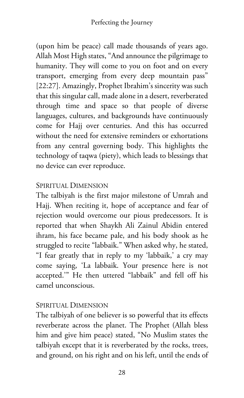(upon him be peace) call made thousands of years ago. Allah Most High states, "And announce the pilgrimage to humanity. They will come to you on foot and on every transport, emerging from every deep mountain pass" [22:27]. Amazingly, Prophet Ibrahim's sincerity was such that this singular call, made alone in a desert, reverberated through time and space so that people of diverse languages, cultures, and backgrounds have continuously come for Hajj over centuries. And this has occurred without the need for extensive reminders or exhortations from any central governing body. This highlights the technology of taqwa (piety), which leads to blessings that no device can ever reproduce.

#### SPIRITUAL DIMENSION

The talbiyah is the first major milestone of Umrah and Hajj. When reciting it, hope of acceptance and fear of rejection would overcome our pious predecessors. It is reported that when Shaykh Ali Zainul Abidin entered ihram, his face became pale, and his body shook as he struggled to recite "labbaik." When asked why, he stated, "I fear greatly that in reply to my 'labbaik,' a cry may come saying, 'La labbaik. Your presence here is not accepted.'" He then uttered "labbaik" and fell off his camel unconscious.

#### SPIRITUAL DIMENSION

The talbiyah of one believer is so powerful that its effects reverberate across the planet. The Prophet (Allah bless him and give him peace) stated, "No Muslim states the talbiyah except that it is reverberated by the rocks, trees, and ground, on his right and on his left, until the ends of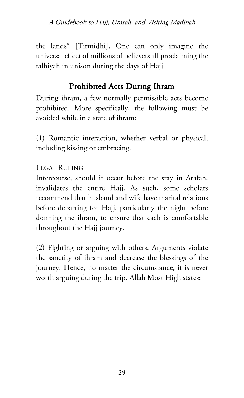A Guidebook to Hajj, Umrah, and Visiting Madinah

the lands" [Tirmidhi]. One can only imagine the universal effect of millions of believers all proclaiming the talbiyah in unison during the days of Hajj.

### Prohibited Acts During Ihram

During ihram, a few normally permissible acts become prohibited. More specifically, the following must be avoided while in a state of ihram:

(1) Romantic interaction, whether verbal or physical, including kissing or embracing.

LEGAL RULING

Intercourse, should it occur before the stay in Arafah, invalidates the entire Hajj. As such, some scholars recommend that husband and wife have marital relations before departing for Hajj, particularly the night before donning the ihram, to ensure that each is comfortable throughout the Hajj journey.

(2) Fighting or arguing with others. Arguments violate the sanctity of ihram and decrease the blessings of the journey. Hence, no matter the circumstance, it is never worth arguing during the trip. Allah Most High states: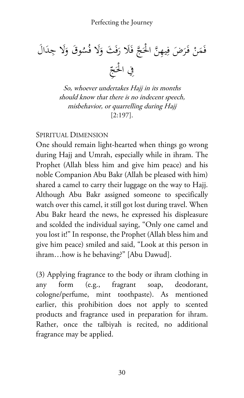َ َ ال ِد َلا ج َ ُ َوق و ُس َلا ف َ َ َث و ف َ ََلا ر ج ف َ َّ ن ْ الح َّ ِ ِ يه َ َض ف َر ْ فـ َن َم ف ِ ّ َج ِفي ْ الح

So, whoever undertakes Hajj in its months should know that there is no indecent speech, misbehavior, or quarrelling during Hajj [2:197].

#### SPIRITUAL DIMENSION

One should remain light-hearted when things go wrong during Hajj and Umrah, especially while in ihram. The Prophet (Allah bless him and give him peace) and his noble Companion Abu Bakr (Allah be pleased with him) shared a camel to carry their luggage on the way to Hajj. Although Abu Bakr assigned someone to specifically watch over this camel, it still got lost during travel. When Abu Bakr heard the news, he expressed his displeasure and scolded the individual saying, "Only one camel and you lost it!" In response, the Prophet (Allah bless him and give him peace) smiled and said, "Look at this person in ihram…how is he behaving?" [Abu Dawud].

(3) Applying fragrance to the body or ihram clothing in any form (e.g., fragrant soap, deodorant, cologne/perfume, mint toothpaste). As mentioned earlier, this prohibition does not apply to scented products and fragrance used in preparation for ihram. Rather, once the talbiyah is recited, no additional fragrance may be applied.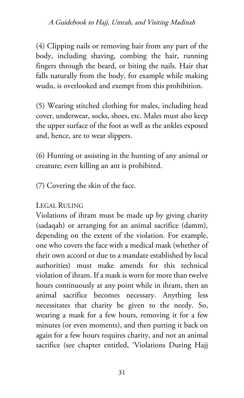(4) Clipping nails or removing hair from any part of the body, including shaving, combing the hair, running fingers through the beard, or biting the nails. Hair that falls naturally from the body, for example while making wudu, is overlooked and exempt from this prohibition.

(5) Wearing stitched clothing for males, including head cover, underwear, socks, shoes, etc. Males must also keep the upper surface of the foot as well as the ankles exposed and, hence, are to wear slippers.

(6) Hunting or assisting in the hunting of any animal or creature; even killing an ant is prohibited.

(7) Covering the skin of the face.

### LEGAL RULING

Violations of ihram must be made up by giving charity (sadaqah) or arranging for an animal sacrifice (damm), depending on the extent of the violation. For example, one who covers the face with a medical mask (whether of their own accord or due to a mandate established by local authorities) must make amends for this technical violation of ihram. If a mask is worn for more than twelve hours continuously at any point while in ihram, then an animal sacrifice becomes necessary. Anything less necessitates that charity be given to the needy. So, wearing a mask for a few hours, removing it for a few minutes (or even moments), and then putting it back on again for a few hours requires charity, and not an animal sacrifice (see chapter entitled, 'Violations During Hajj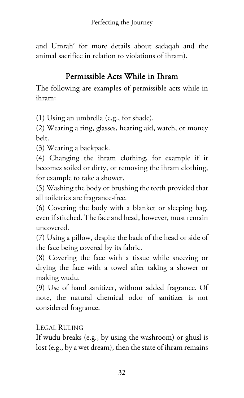and Umrah' for more details about sadaqah and the animal sacrifice in relation to violations of ihram).

## Permissible Acts While in Ihram

The following are examples of permissible acts while in ihram:

(1) Using an umbrella (e.g., for shade).

(2) Wearing a ring, glasses, hearing aid, watch, or money belt.

(3) Wearing a backpack.

(4) Changing the ihram clothing, for example if it becomes soiled or dirty, or removing the ihram clothing, for example to take a shower.

(5) Washing the body or brushing the teeth provided that all toiletries are fragrance-free.

(6) Covering the body with a blanket or sleeping bag, even if stitched. The face and head, however, must remain uncovered.

(7) Using a pillow, despite the back of the head or side of the face being covered by its fabric.

(8) Covering the face with a tissue while sneezing or drying the face with a towel after taking a shower or making wudu.

(9) Use of hand sanitizer, without added fragrance. Of note, the natural chemical odor of sanitizer is not considered fragrance.

### LEGAL RULING

If wudu breaks (e.g., by using the washroom) or ghusl is lost (e.g., by a wet dream), then the state of ihram remains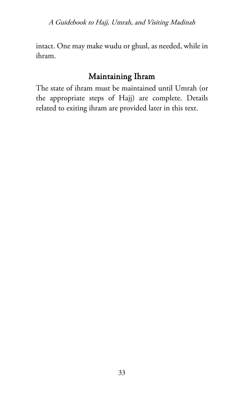A Guidebook to Hajj, Umrah, and Visiting Madinah

intact. One may make wudu or ghusl, as needed, while in ihram.

### Maintaining Ihram

The state of ihram must be maintained until Umrah (or the appropriate steps of Hajj) are complete. Details related to exiting ihram are provided later in this text.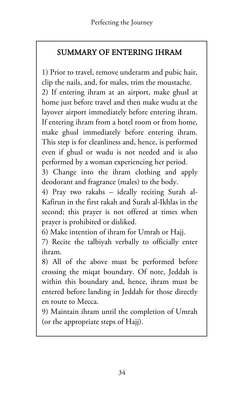## SUMMARY OF ENTERING IHRAM

1) Prior to travel, remove underarm and pubic hair, clip the nails, and, for males, trim the moustache.

2) If entering ihram at an airport, make ghusl at home just before travel and then make wudu at the layover airport immediately before entering ihram. If entering ihram from a hotel room or from home, make ghusl immediately before entering ihram. This step is for cleanliness and, hence, is performed even if ghusl or wudu is not needed and is also performed by a woman experiencing her period.

3) Change into the ihram clothing and apply deodorant and fragrance (males) to the body.

4) Pray two rakahs – ideally reciting Surah al-Kafirun in the first rakah and Surah al-Ikhlas in the second; this prayer is not offered at times when prayer is prohibited or disliked.

6) Make intention of ihram for Umrah or Hajj.

7) Recite the talbiyah verbally to officially enter ihram.

8) All of the above must be performed before crossing the miqat boundary. Of note, Jeddah is within this boundary and, hence, ihram must be entered before landing in Jeddah for those directly en route to Mecca.

9) Maintain ihram until the completion of Umrah (or the appropriate steps of Hajj).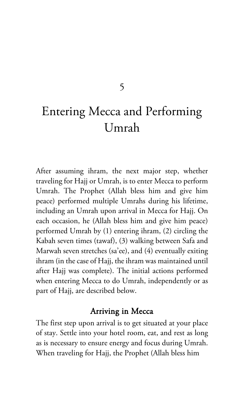### 5

# Entering Mecca and Performing Umrah

After assuming ihram, the next major step, whether traveling for Hajj or Umrah, is to enter Mecca to perform Umrah. The Prophet (Allah bless him and give him peace) performed multiple Umrahs during his lifetime, including an Umrah upon arrival in Mecca for Hajj. On each occasion, he (Allah bless him and give him peace) performed Umrah by (1) entering ihram, (2) circling the Kabah seven times (tawaf), (3) walking between Safa and Marwah seven stretches (sa'ee), and (4) eventually exiting ihram (in the case of Hajj, the ihram was maintained until after Hajj was complete). The initial actions performed when entering Mecca to do Umrah, independently or as part of Hajj, are described below.

#### Arriving in Mecca

The first step upon arrival is to get situated at your place of stay. Settle into your hotel room, eat, and rest as long as is necessary to ensure energy and focus during Umrah. When traveling for Hajj, the Prophet (Allah bless him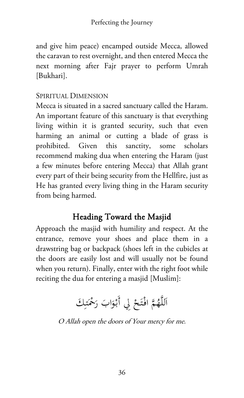and give him peace) encamped outside Mecca, allowed the caravan to rest overnight, and then entered Mecca the next morning after Fajr prayer to perform Umrah [Bukhari].

### SPIRITUAL DIMENSION

Mecca is situated in a sacred sanctuary called the Haram. An important feature of this sanctuary is that everything living within it is granted security, such that even harming an animal or cutting a blade of grass is prohibited. Given this sanctity, some scholars recommend making dua when entering the Haram (just a few minutes before entering Mecca) that Allah grant every part of their being security from the Hellfire, just as He has granted every living thing in the Haram security from being harmed.

## Heading Toward the Masjid

Approach the masjid with humility and respect. At the entrance, remove your shoes and place them in a drawstring bag or backpack (shoes left in the cubicles at the doors are easily lost and will usually not be found when you return). Finally, enter with the right foot while reciting the dua for entering a masjid [Muslim]:

> ِاللَّهُمَّ افْتَحْ لِي أَبْوَابَ رَحْمَتِكَ ن:<br>ا ا

O Allah open the doors of Your mercy for me.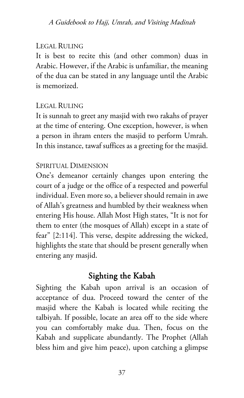#### LEGAL RULING

It is best to recite this (and other common) duas in Arabic. However, if the Arabic is unfamiliar, the meaning of the dua can be stated in any language until the Arabic is memorized.

#### LEGAL RULING

It is sunnah to greet any masjid with two rakahs of prayer at the time of entering. One exception, however, is when a person in ihram enters the masjid to perform Umrah. In this instance, tawaf suffices as a greeting for the masjid.

#### SPIRITUAL DIMENSION

One's demeanor certainly changes upon entering the court of a judge or the office of a respected and powerful individual. Even more so, a believer should remain in awe of Allah's greatness and humbled by their weakness when entering His house. Allah Most High states, "It is not for them to enter (the mosques of Allah) except in a state of fear" [2:114]. This verse, despite addressing the wicked, highlights the state that should be present generally when entering any masjid.

## Sighting the Kabah

Sighting the Kabah upon arrival is an occasion of acceptance of dua. Proceed toward the center of the masjid where the Kabah is located while reciting the talbiyah. If possible, locate an area off to the side where you can comfortably make dua. Then, focus on the Kabah and supplicate abundantly. The Prophet (Allah bless him and give him peace), upon catching a glimpse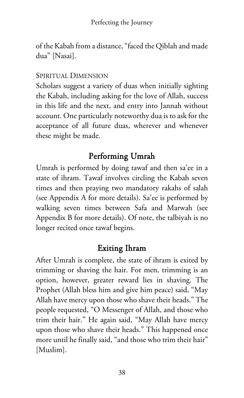of the Kabah from a distance, "faced the Qiblah and made dua" [Nasai].

#### SPIRITUAL DIMENSION

Scholars suggest a variety of duas when initially sighting the Kabah, including asking for the love of Allah, success in this life and the next, and entry into Jannah without account. One particularly noteworthy dua is to ask for the acceptance of all future duas, wherever and whenever these might be made.

## Performing Umrah

Umrah is performed by doing tawaf and then sa'ee in a state of ihram. Tawaf involves circling the Kabah seven times and then praying two mandatory rakahs of salah (see Appendix A for more details). Sa'ee is performed by walking seven times between Safa and Marwah (see Appendix B for more details). Of note, the talbiyah is no longer recited once tawaf begins.

## Exiting Ihram

After Umrah is complete, the state of ihram is exited by trimming or shaving the hair. For men, trimming is an option, however, greater reward lies in shaving. The Prophet (Allah bless him and give him peace) said, "May Allah have mercy upon those who shave their heads." The people requested, "O Messenger of Allah, and those who trim their hair." He again said, "May Allah have mercy upon those who shave their heads." This happened once more until he finally said, "and those who trim their hair" [Muslim].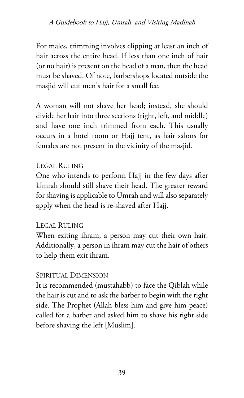For males, trimming involves clipping at least an inch of hair across the entire head. If less than one inch of hair (or no hair) is present on the head of a man, then the head must be shaved. Of note, barbershops located outside the masjid will cut men's hair for a small fee.

A woman will not shave her head; instead, she should divide her hair into three sections (right, left, and middle) and have one inch trimmed from each. This usually occurs in a hotel room or Hajj tent, as hair salons for females are not present in the vicinity of the masjid.

### LEGAL RULING

One who intends to perform Hajj in the few days after Umrah should still shave their head. The greater reward for shaving is applicable to Umrah and will also separately apply when the head is re-shaved after Hajj.

#### LEGAL RULING

When exiting ihram, a person may cut their own hair. Additionally, a person in ihram may cut the hair of others to help them exit ihram.

### SPIRITUAL DIMENSION

It is recommended (mustahabb) to face the Qiblah while the hair is cut and to ask the barber to begin with the right side. The Prophet (Allah bless him and give him peace) called for a barber and asked him to shave his right side before shaving the left [Muslim].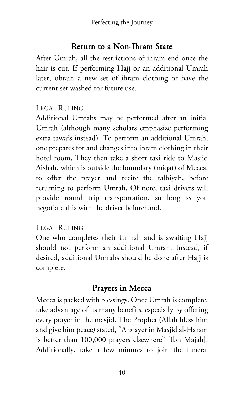### Return to a Non-Ihram State

After Umrah, all the restrictions of ihram end once the hair is cut. If performing Hajj or an additional Umrah later, obtain a new set of ihram clothing or have the current set washed for future use.

#### LEGAL RULING

Additional Umrahs may be performed after an initial Umrah (although many scholars emphasize performing extra tawafs instead). To perform an additional Umrah, one prepares for and changes into ihram clothing in their hotel room. They then take a short taxi ride to Masjid Aishah, which is outside the boundary (miqat) of Mecca, to offer the prayer and recite the talbiyah, before returning to perform Umrah. Of note, taxi drivers will provide round trip transportation, so long as you negotiate this with the driver beforehand.

#### LEGAL RULING

One who completes their Umrah and is awaiting Hajj should not perform an additional Umrah. Instead, if desired, additional Umrahs should be done after Hajj is complete.

## Prayers in Mecca

Mecca is packed with blessings. Once Umrah is complete, take advantage of its many benefits, especially by offering every prayer in the masjid. The Prophet (Allah bless him and give him peace) stated, "A prayer in Masjid al-Haram is better than 100,000 prayers elsewhere" [Ibn Majah]. Additionally, take a few minutes to join the funeral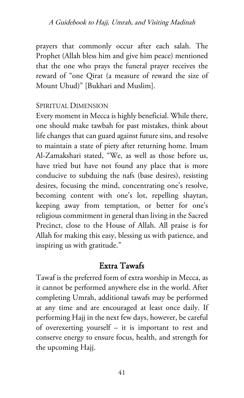prayers that commonly occur after each salah. The Prophet (Allah bless him and give him peace) mentioned that the one who prays the funeral prayer receives the reward of "one Qirat (a measure of reward the size of Mount Uhud)" [Bukhari and Muslim].

#### SPIRITUAL DIMENSION

Every moment in Mecca is highly beneficial. While there, one should make tawbah for past mistakes, think about life changes that can guard against future sins, and resolve to maintain a state of piety after returning home. Imam Al-Zamakshari stated, "We, as well as those before us, have tried but have not found any place that is more conducive to subduing the nafs (base desires), resisting desires, focusing the mind, concentrating one's resolve, becoming content with one's lot, repelling shaytan, keeping away from temptation, or better for one's religious commitment in general than living in the Sacred Precinct, close to the House of Allah. All praise is for Allah for making this easy, blessing us with patience, and inspiring us with gratitude."

### Extra Tawafs

Tawaf is the preferred form of extra worship in Mecca, as it cannot be performed anywhere else in the world. After completing Umrah, additional tawafs may be performed at any time and are encouraged at least once daily. If performing Hajj in the next few days, however, be careful of overexerting yourself – it is important to rest and conserve energy to ensure focus, health, and strength for the upcoming Hajj.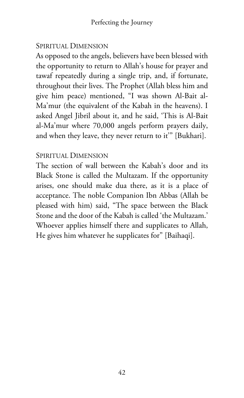#### SPIRITUAL DIMENSION

As opposed to the angels, believers have been blessed with the opportunity to return to Allah's house for prayer and tawaf repeatedly during a single trip, and, if fortunate, throughout their lives. The Prophet (Allah bless him and give him peace) mentioned, "I was shown Al-Bait al-Ma'mur (the equivalent of the Kabah in the heavens). I asked Angel Jibril about it, and he said, 'This is Al-Bait al-Ma'mur where 70,000 angels perform prayers daily, and when they leave, they never return to it'" [Bukhari].

#### SPIRITUAL DIMENSION

The section of wall between the Kabah's door and its Black Stone is called the Multazam. If the opportunity arises, one should make dua there, as it is a place of acceptance. The noble Companion Ibn Abbas (Allah be pleased with him) said, "The space between the Black Stone and the door of the Kabah is called 'the Multazam.' Whoever applies himself there and supplicates to Allah, He gives him whatever he supplicates for" [Baihaqi].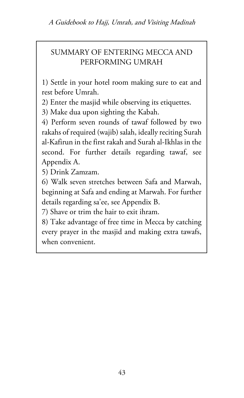A Guidebook to Hajj, Umrah, and Visiting Madinah

### SUMMARY OF ENTERING MECCA AND PERFORMING UMRAH

1) Settle in your hotel room making sure to eat and rest before Umrah.

2) Enter the masjid while observing its etiquettes.

3) Make dua upon sighting the Kabah.

4) Perform seven rounds of tawaf followed by two rakahs of required (wajib) salah, ideally reciting Surah al-Kafirun in the first rakah and Surah al-Ikhlas in the second. For further details regarding tawaf, see Appendix A.

5) Drink Zamzam.

6) Walk seven stretches between Safa and Marwah, beginning at Safa and ending at Marwah. For further details regarding sa'ee, see Appendix B.

7) Shave or trim the hair to exit ihram.

8) Take advantage of free time in Mecca by catching every prayer in the masjid and making extra tawafs, when convenient.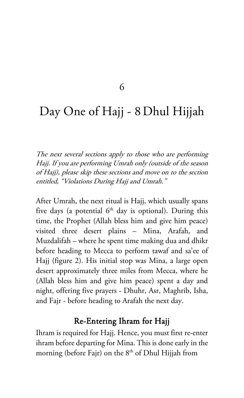#### 6

## Day One of Hajj - 8Dhul Hijjah

The next several sections apply to those who are performing Hajj. If you are performing Umrah only (outside of the season of Hajj), please skip these sections and move on to the section entitled, "Violations During Hajj and Umrah."

After Umrah, the next ritual is Hajj, which usually spans five days (a potential  $6<sup>th</sup>$  day is optional). During this time, the Prophet (Allah bless him and give him peace) visited three desert plains – Mina, Arafah, and Muzdalifah – where he spent time making dua and dhikr before heading to Mecca to perform tawaf and sa'ee of Hajj (figure 2). His initial stop was Mina, a large open desert approximately three miles from Mecca, where he (Allah bless him and give him peace) spent a day and night, offering five prayers - Dhuhr, Asr, Maghrib, Isha, and Fajr - before heading to Arafah the next day.

#### Re-Entering Ihram for Hajj

Ihram is required for Hajj. Hence, you must first re-enter ihram before departing for Mina. This is done early in the morning (before Fajr) on the  $8<sup>th</sup>$  of Dhul Hijjah from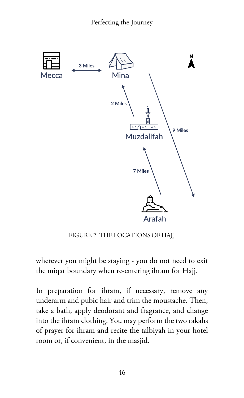

FIGURE 2: THE LOCATIONS OF HAJJ

wherever you might be staying - you do not need to exit the miqat boundary when re-entering ihram for Hajj.

In preparation for ihram, if necessary, remove any underarm and pubic hair and trim the moustache. Then, take a bath, apply deodorant and fragrance, and change into the ihram clothing. You may perform the two rakahs of prayer for ihram and recite the talbiyah in your hotel room or, if convenient, in the masjid.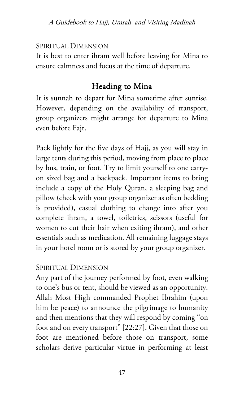#### SPIRITUAL DIMENSION

It is best to enter ihram well before leaving for Mina to ensure calmness and focus at the time of departure.

### Heading to Mina

It is sunnah to depart for Mina sometime after sunrise. However, depending on the availability of transport, group organizers might arrange for departure to Mina even before Fajr.

Pack lightly for the five days of Hajj, as you will stay in large tents during this period, moving from place to place by bus, train, or foot. Try to limit yourself to one carryon sized bag and a backpack. Important items to bring include a copy of the Holy Quran, a sleeping bag and pillow (check with your group organizer as often bedding is provided), casual clothing to change into after you complete ihram, a towel, toiletries, scissors (useful for women to cut their hair when exiting ihram), and other essentials such as medication. All remaining luggage stays in your hotel room or is stored by your group organizer.

#### SPIRITUAL DIMENSION

Any part of the journey performed by foot, even walking to one's bus or tent, should be viewed as an opportunity. Allah Most High commanded Prophet Ibrahim (upon him be peace) to announce the pilgrimage to humanity and then mentions that they will respond by coming "on foot and on every transport" [22:27]. Given that those on foot are mentioned before those on transport, some scholars derive particular virtue in performing at least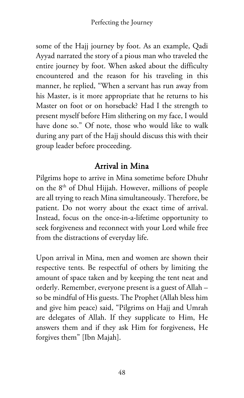some of the Hajj journey by foot. As an example, Qadi Ayyad narrated the story of a pious man who traveled the entire journey by foot. When asked about the difficulty encountered and the reason for his traveling in this manner, he replied, "When a servant has run away from his Master, is it more appropriate that he returns to his Master on foot or on horseback? Had I the strength to present myself before Him slithering on my face, I would have done so." Of note, those who would like to walk during any part of the Hajj should discuss this with their group leader before proceeding.

## Arrival in Mina

Pilgrims hope to arrive in Mina sometime before Dhuhr on the 8th of Dhul Hijjah. However, millions of people are all trying to reach Mina simultaneously. Therefore, be patient. Do not worry about the exact time of arrival. Instead, focus on the once-in-a-lifetime opportunity to seek forgiveness and reconnect with your Lord while free from the distractions of everyday life.

Upon arrival in Mina, men and women are shown their respective tents. Be respectful of others by limiting the amount of space taken and by keeping the tent neat and orderly. Remember, everyone present is a guest of Allah – so be mindful of His guests. The Prophet (Allah bless him and give him peace) said, "Pilgrims on Hajj and Umrah are delegates of Allah. If they supplicate to Him, He answers them and if they ask Him for forgiveness, He forgives them" [Ibn Majah].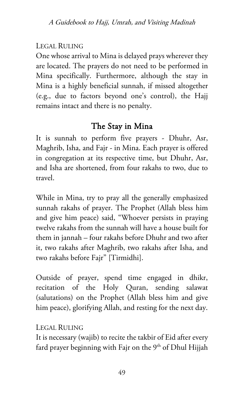### LEGAL RULING

One whose arrival to Mina is delayed prays wherever they are located. The prayers do not need to be performed in Mina specifically. Furthermore, although the stay in Mina is a highly beneficial sunnah, if missed altogether (e.g., due to factors beyond one's control), the Hajj remains intact and there is no penalty.

## The Stay in Mina

It is sunnah to perform five prayers - Dhuhr, Asr, Maghrib, Isha, and Fajr - in Mina. Each prayer is offered in congregation at its respective time, but Dhuhr, Asr, and Isha are shortened, from four rakahs to two, due to travel.

While in Mina, try to pray all the generally emphasized sunnah rakahs of prayer. The Prophet (Allah bless him and give him peace) said, "Whoever persists in praying twelve rakahs from the sunnah will have a house built for them in jannah – four rakahs before Dhuhr and two after it, two rakahs after Maghrib, two rakahs after Isha, and two rakahs before Fajr" [Tirmidhi].

Outside of prayer, spend time engaged in dhikr, recitation of the Holy Quran, sending salawat (salutations) on the Prophet (Allah bless him and give him peace), glorifying Allah, and resting for the next day.

### LEGAL RULING

It is necessary (wajib) to recite the takbir of Eid after every fard prayer beginning with Fajr on the  $9<sup>th</sup>$  of Dhul Hijjah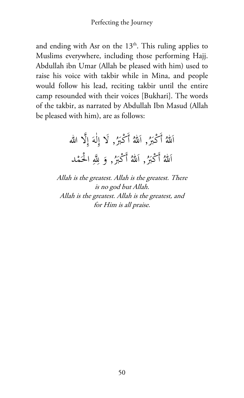and ending with Asr on the  $13<sup>th</sup>$ . This ruling applies to Muslims everywhere, including those performing Hajj. Abdullah ibn Umar (Allah be pleased with him) used to raise his voice with takbir while in Mina, and people would follow his lead, reciting takbir until the entire camp resounded with their voices [Bukhari]. The words of the takbir, as narrated by Abdullah Ibn Masud (Allah be pleased with him), are as follows:

> اللهُ أَكْبَرُ, اللهُ أَكْبَرُ, لَا إِلٰهَ إِلَّا الله<br>· ل ِ ا اَللهُ أَكْبَرُ, اَللهُ أَكْبَرُ, وَ لِلَّهِ الْحَمْد .<br>. ا

Allah is the greatest. Allah is the greatest. There is no god but Allah. Allah is the greatest. Allah is the greatest, and for Him is all praise.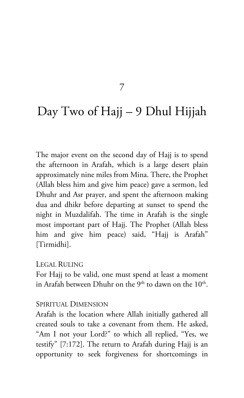#### 7

## Day Two of Hajj – 9 Dhul Hijjah

The major event on the second day of Hajj is to spend the afternoon in Arafah, which is a large desert plain approximately nine miles from Mina. There, the Prophet (Allah bless him and give him peace) gave a sermon, led Dhuhr and Asr prayer, and spent the afternoon making dua and dhikr before departing at sunset to spend the night in Muzdalifah. The time in Arafah is the single most important part of Hajj. The Prophet (Allah bless him and give him peace) said, "Hajj is Arafah" [Tirmidhi].

#### LEGAL RULING

For Hajj to be valid, one must spend at least a moment in Arafah between Dhuhr on the  $9<sup>th</sup>$  to dawn on the  $10<sup>th</sup>$ .

#### SPIRITUAL DIMENSION

Arafah is the location where Allah initially gathered all created souls to take a covenant from them. He asked, "Am I not your Lord?" to which all replied, "Yes, we testify" [7:172]. The return to Arafah during Hajj is an opportunity to seek forgiveness for shortcomings in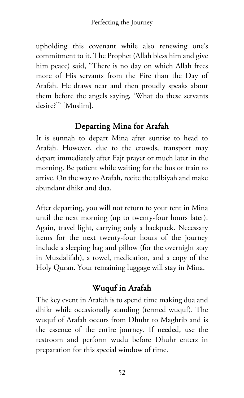upholding this covenant while also renewing one's commitment to it. The Prophet (Allah bless him and give him peace) said, "There is no day on which Allah frees more of His servants from the Fire than the Day of Arafah. He draws near and then proudly speaks about them before the angels saying, 'What do these servants desire?'" [Muslim].

## Departing Mina for Arafah

It is sunnah to depart Mina after sunrise to head to Arafah. However, due to the crowds, transport may depart immediately after Fajr prayer or much later in the morning. Be patient while waiting for the bus or train to arrive. On the way to Arafah, recite the talbiyah and make abundant dhikr and dua.

After departing, you will not return to your tent in Mina until the next morning (up to twenty-four hours later). Again, travel light, carrying only a backpack. Necessary items for the next twenty-four hours of the journey include a sleeping bag and pillow (for the overnight stay in Muzdalifah), a towel, medication, and a copy of the Holy Quran. Your remaining luggage will stay in Mina.

## Wuquf in Arafah

The key event in Arafah is to spend time making dua and dhikr while occasionally standing (termed wuquf). The wuquf of Arafah occurs from Dhuhr to Maghrib and is the essence of the entire journey. If needed, use the restroom and perform wudu before Dhuhr enters in preparation for this special window of time.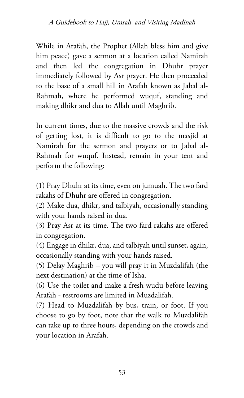While in Arafah, the Prophet (Allah bless him and give him peace) gave a sermon at a location called Namirah and then led the congregation in Dhuhr prayer immediately followed by Asr prayer. He then proceeded to the base of a small hill in Arafah known as Jabal al-Rahmah, where he performed wuquf, standing and making dhikr and dua to Allah until Maghrib.

In current times, due to the massive crowds and the risk of getting lost, it is difficult to go to the masjid at Namirah for the sermon and prayers or to Jabal al-Rahmah for wuquf. Instead, remain in your tent and perform the following:

(1) Pray Dhuhr at its time, even on jumuah. The two fard rakahs of Dhuhr are offered in congregation.

(2) Make dua, dhikr, and talbiyah, occasionally standing with your hands raised in dua.

(3) Pray Asr at its time. The two fard rakahs are offered in congregation.

(4) Engage in dhikr, dua, and talbiyah until sunset, again, occasionally standing with your hands raised.

(5) Delay Maghrib – you will pray it in Muzdalifah (the next destination) at the time of Isha.

(6) Use the toilet and make a fresh wudu before leaving Arafah - restrooms are limited in Muzdalifah.

(7) Head to Muzdalifah by bus, train, or foot. If you choose to go by foot, note that the walk to Muzdalifah can take up to three hours, depending on the crowds and your location in Arafah.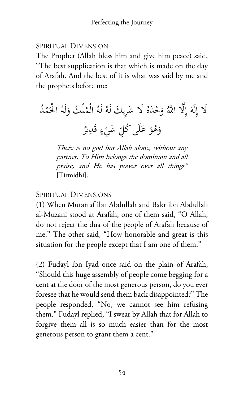#### SPIRITUAL DIMENSION

The Prophet (Allah bless him and give him peace) said, "The best supplication is that which is made on the day of Arafah. And the best of it is what was said by me and the prophets before me:

 ُ ْد م َ ُ ْ الح لَه َ ْل ُك و ُ ْم ُ ال ُ لَه يك لَه ُ َلا َشِر َ َه ْد َح ُ و لا َّ اهلل َِّ َ إ لَه ِ َلا إ ٌ ِير َد ٍ ق ء ْ ِ َشي ّ َى ُكل ل َ َ ع ُو َه و

There is no god but Allah alone, without any partner. To Him belongs the dominion and all praise, and He has power over all things" [Tirmidhi].

### SPIRITUAL DIMENSIONS

(1) When Mutarraf ibn Abdullah and Bakr ibn Abdullah al-Muzani stood at Arafah, one of them said, "O Allah, do not reject the dua of the people of Arafah because of me." The other said, "How honorable and great is this situation for the people except that I am one of them."

(2) Fudayl ibn Iyad once said on the plain of Arafah, "Should this huge assembly of people come begging for a cent at the door of the most generous person, do you ever foresee that he would send them back disappointed?" The people responded, "No, we cannot see him refusing them." Fudayl replied, "I swear by Allah that for Allah to forgive them all is so much easier than for the most generous person to grant them a cent."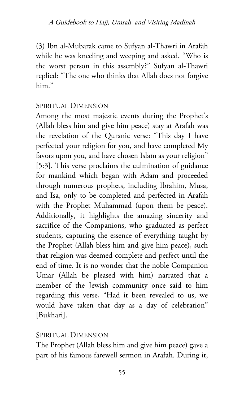(3) Ibn al-Mubarak came to Sufyan al-Thawri in Arafah while he was kneeling and weeping and asked, "Who is the worst person in this assembly?" Sufyan al-Thawri replied: "The one who thinks that Allah does not forgive him."

#### SPIRITUAL DIMENSION

Among the most majestic events during the Prophet's (Allah bless him and give him peace) stay at Arafah was the revelation of the Quranic verse: "This day I have perfected your religion for you, and have completed My favors upon you, and have chosen Islam as your religion" [5:3]. This verse proclaims the culmination of guidance for mankind which began with Adam and proceeded through numerous prophets, including Ibrahim, Musa, and Isa, only to be completed and perfected in Arafah with the Prophet Muhammad (upon them be peace). Additionally, it highlights the amazing sincerity and sacrifice of the Companions, who graduated as perfect students, capturing the essence of everything taught by the Prophet (Allah bless him and give him peace), such that religion was deemed complete and perfect until the end of time. It is no wonder that the noble Companion Umar (Allah be pleased with him) narrated that a member of the Jewish community once said to him regarding this verse, "Had it been revealed to us, we would have taken that day as a day of celebration" [Bukhari].

#### SPIRITUAL DIMENSION

The Prophet (Allah bless him and give him peace) gave a part of his famous farewell sermon in Arafah. During it,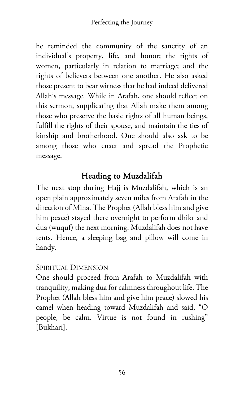he reminded the community of the sanctity of an individual's property, life, and honor; the rights of women, particularly in relation to marriage; and the rights of believers between one another. He also asked those present to bear witness that he had indeed delivered Allah's message. While in Arafah, one should reflect on this sermon, supplicating that Allah make them among those who preserve the basic rights of all human beings, fulfill the rights of their spouse, and maintain the ties of kinship and brotherhood. One should also ask to be among those who enact and spread the Prophetic message.

## Heading to Muzdalifah

The next stop during Hajj is Muzdalifah, which is an open plain approximately seven miles from Arafah in the direction of Mina. The Prophet (Allah bless him and give him peace) stayed there overnight to perform dhikr and dua (wuquf) the next morning. Muzdalifah does not have tents. Hence, a sleeping bag and pillow will come in handy.

#### SPIRITUAL DIMENSION

One should proceed from Arafah to Muzdalifah with tranquility, making dua for calmness throughout life. The Prophet (Allah bless him and give him peace) slowed his camel when heading toward Muzdalifah and said, "O people, be calm. Virtue is not found in rushing" [Bukhari].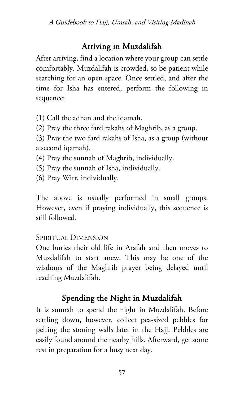### Arriving in Muzdalifah

After arriving, find a location where your group can settle comfortably. Muzdalifah is crowded, so be patient while searching for an open space. Once settled, and after the time for Isha has entered, perform the following in sequence:

(1) Call the adhan and the iqamah.

(2) Pray the three fard rakahs of Maghrib, as a group.

(3) Pray the two fard rakahs of Isha, as a group (without a second iqamah).

(4) Pray the sunnah of Maghrib, individually.

- (5) Pray the sunnah of Isha, individually.
- (6) Pray Witr, individually.

The above is usually performed in small groups. However, even if praying individually, this sequence is still followed.

#### SPIRITUAL DIMENSION

One buries their old life in Arafah and then moves to Muzdalifah to start anew. This may be one of the wisdoms of the Maghrib prayer being delayed until reaching Muzdalifah.

## Spending the Night in Muzdalifah

It is sunnah to spend the night in Muzdalifah. Before settling down, however, collect pea-sized pebbles for pelting the stoning walls later in the Hajj. Pebbles are easily found around the nearby hills. Afterward, get some rest in preparation for a busy next day.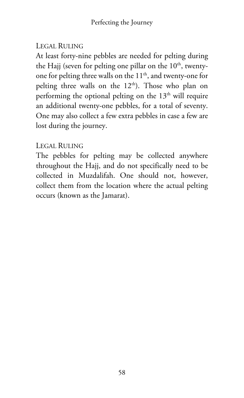### LEGAL RULING

At least forty-nine pebbles are needed for pelting during the Hajj (seven for pelting one pillar on the  $10<sup>th</sup>$ , twentyone for pelting three walls on the 11<sup>th</sup>, and twenty-one for pelting three walls on the  $12<sup>th</sup>$ ). Those who plan on performing the optional pelting on the  $13<sup>th</sup>$  will require an additional twenty-one pebbles, for a total of seventy. One may also collect a few extra pebbles in case a few are lost during the journey.

### LEGAL RULING

The pebbles for pelting may be collected anywhere throughout the Hajj, and do not specifically need to be collected in Muzdalifah. One should not, however, collect them from the location where the actual pelting occurs (known as the Jamarat).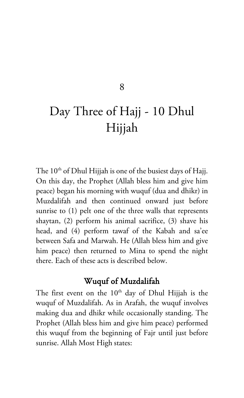#### 8

# Day Three of Hajj - 10 Dhul Hijjah

The  $10<sup>th</sup>$  of Dhul Hijjah is one of the busiest days of Hajj. On this day, the Prophet (Allah bless him and give him peace) began his morning with wuquf (dua and dhikr) in Muzdalifah and then continued onward just before sunrise to (1) pelt one of the three walls that represents shaytan, (2) perform his animal sacrifice, (3) shave his head, and (4) perform tawaf of the Kabah and sa'ee between Safa and Marwah. He (Allah bless him and give him peace) then returned to Mina to spend the night there. Each of these acts is described below.

### Wuquf of Muzdalifah

The first event on the  $10<sup>th</sup>$  day of Dhul Hijjah is the wuquf of Muzdalifah. As in Arafah, the wuquf involves making dua and dhikr while occasionally standing. The Prophet (Allah bless him and give him peace) performed this wuquf from the beginning of Fajr until just before sunrise. Allah Most High states: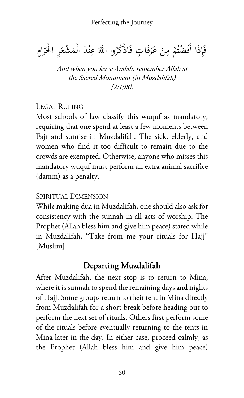$\ddot{\phantom{0}}$ فَإِذَا أَفَضْتُمْ مِنْ عَرَفَاتٍ فَاذْكُرُوا اللَّهَ عِنْدَ الْمَشْعَرِ الْحَرَامِ َ **ً** ن ِ ر<br>ا

And when you leave Arafah, remember Allah at the Sacred Monument (in Muzdalifah) [2:198].

#### LEGAL RULING

Most schools of law classify this wuquf as mandatory, requiring that one spend at least a few moments between Fajr and sunrise in Muzdalifah. The sick, elderly, and women who find it too difficult to remain due to the crowds are exempted. Otherwise, anyone who misses this mandatory wuquf must perform an extra animal sacrifice (damm) as a penalty.

#### SPIRITUAL DIMENSION

While making dua in Muzdalifah, one should also ask for consistency with the sunnah in all acts of worship. The Prophet (Allah bless him and give him peace) stated while in Muzdalifah, "Take from me your rituals for Hajj" [Muslim].

### Departing Muzdalifah

After Muzdalifah, the next stop is to return to Mina, where it is sunnah to spend the remaining days and nights of Hajj. Some groups return to their tent in Mina directly from Muzdalifah for a short break before heading out to perform the next set of rituals. Others first perform some of the rituals before eventually returning to the tents in Mina later in the day. In either case, proceed calmly, as the Prophet (Allah bless him and give him peace)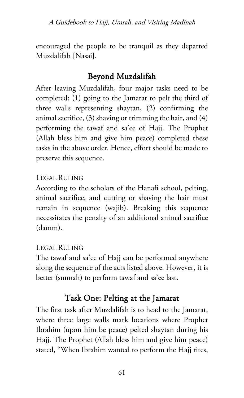encouraged the people to be tranquil as they departed Muzdalifah [Nasai].

### Beyond Muzdalifah

After leaving Muzdalifah, four major tasks need to be completed: (1) going to the Jamarat to pelt the third of three walls representing shaytan, (2) confirming the animal sacrifice, (3) shaving or trimming the hair, and (4) performing the tawaf and sa'ee of Hajj. The Prophet (Allah bless him and give him peace) completed these tasks in the above order. Hence, effort should be made to preserve this sequence.

#### LEGAL RULING

According to the scholars of the Hanafi school, pelting, animal sacrifice, and cutting or shaving the hair must remain in sequence (wajib). Breaking this sequence necessitates the penalty of an additional animal sacrifice (damm).

#### LEGAL RULING

The tawaf and sa'ee of Hajj can be performed anywhere along the sequence of the acts listed above. However, it is better (sunnah) to perform tawaf and sa'ee last.

## Task One: Pelting at the Jamarat

The first task after Muzdalifah is to head to the Jamarat, where three large walls mark locations where Prophet Ibrahim (upon him be peace) pelted shaytan during his Hajj. The Prophet (Allah bless him and give him peace) stated, "When Ibrahim wanted to perform the Hajj rites,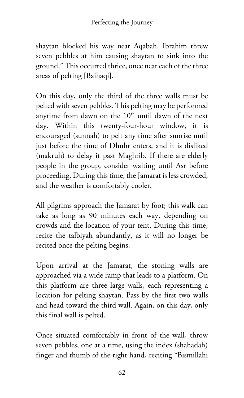shaytan blocked his way near Aqabah. Ibrahim threw seven pebbles at him causing shaytan to sink into the ground." This occurred thrice, once near each of the three areas of pelting [Baihaqi].

On this day, only the third of the three walls must be pelted with seven pebbles. This pelting may be performed anytime from dawn on the 10<sup>th</sup> until dawn of the next day. Within this twenty-four-hour window, it is encouraged (sunnah) to pelt any time after sunrise until just before the time of Dhuhr enters, and it is disliked (makruh) to delay it past Maghrib. If there are elderly people in the group, consider waiting until Asr before proceeding. During this time, the Jamarat is less crowded, and the weather is comfortably cooler.

All pilgrims approach the Jamarat by foot; this walk can take as long as 90 minutes each way, depending on crowds and the location of your tent. During this time, recite the talbiyah abundantly, as it will no longer be recited once the pelting begins.

Upon arrival at the Jamarat, the stoning walls are approached via a wide ramp that leads to a platform. On this platform are three large walls, each representing a location for pelting shaytan. Pass by the first two walls and head toward the third wall. Again, on this day, only this final wall is pelted.

Once situated comfortably in front of the wall, throw seven pebbles, one at a time, using the index (shahadah) finger and thumb of the right hand, reciting "Bismillahi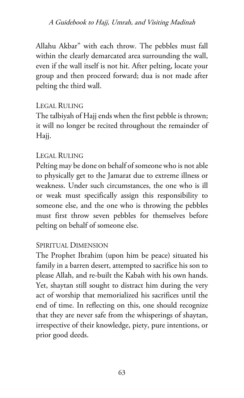A Guidebook to Hajj, Umrah, and Visiting Madinah

Allahu Akbar" with each throw. The pebbles must fall within the clearly demarcated area surrounding the wall, even if the wall itself is not hit. After pelting, locate your group and then proceed forward; dua is not made after pelting the third wall.

#### LEGAL RULING

The talbiyah of Hajj ends when the first pebble is thrown; it will no longer be recited throughout the remainder of Hajj.

#### LEGAL RULING

Pelting may be done on behalf of someone who is not able to physically get to the Jamarat due to extreme illness or weakness. Under such circumstances, the one who is ill or weak must specifically assign this responsibility to someone else, and the one who is throwing the pebbles must first throw seven pebbles for themselves before pelting on behalf of someone else.

#### SPIRITUAL DIMENSION

The Prophet Ibrahim (upon him be peace) situated his family in a barren desert, attempted to sacrifice his son to please Allah, and re-built the Kabah with his own hands. Yet, shaytan still sought to distract him during the very act of worship that memorialized his sacrifices until the end of time. In reflecting on this, one should recognize that they are never safe from the whisperings of shaytan, irrespective of their knowledge, piety, pure intentions, or prior good deeds.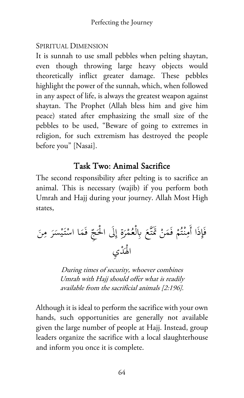#### SPIRITUAL DIMENSION

It is sunnah to use small pebbles when pelting shaytan, even though throwing large heavy objects would theoretically inflict greater damage. These pebbles highlight the power of the sunnah, which, when followed in any aspect of life, is always the greatest weapon against shaytan. The Prophet (Allah bless him and give him peace) stated after emphasizing the small size of the pebbles to be used, "Beware of going to extremes in religion, for such extremism has destroyed the people before you" [Nasai].

## Task Two: Animal Sacrifice

The second responsibility after pelting is to sacrifice an animal. This is necessary (wajib) if you perform both Umrah and Hajj during your journey. Allah Most High states,

َ ع َّ ت َ ْ َ تم َن َم ْ ف ُم ْت ِنـ َا أَم ِذ َإ َ ف ِن َ م ر َ ْس ي َ ْتـ َا اس َم ِ ف ّ َج َِلى ْ الح ِ إ ة َ ْر ُم ْع ِابل َْد ِي ْ اله

During times of security, whoever combines Umrah with Hajj should offer what is readily available from the sacrificial animals [2:196].

Although it is ideal to perform the sacrifice with your own hands, such opportunities are generally not available given the large number of people at Hajj. Instead, group leaders organize the sacrifice with a local slaughterhouse and inform you once it is complete.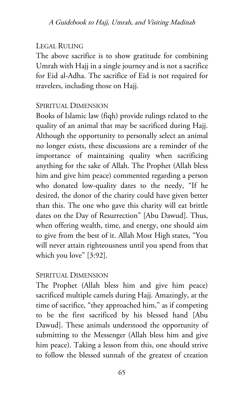### LEGAL RULING

The above sacrifice is to show gratitude for combining Umrah with Hajj in a single journey and is not a sacrifice for Eid al-Adha. The sacrifice of Eid is not required for travelers, including those on Hajj.

#### SPIRITUAL DIMENSION

Books of Islamic law (fiqh) provide rulings related to the quality of an animal that may be sacrificed during Hajj. Although the opportunity to personally select an animal no longer exists, these discussions are a reminder of the importance of maintaining quality when sacrificing anything for the sake of Allah. The Prophet (Allah bless him and give him peace) commented regarding a person who donated low-quality dates to the needy, "If he desired, the donor of the charity could have given better than this. The one who gave this charity will eat brittle dates on the Day of Resurrection" [Abu Dawud]. Thus, when offering wealth, time, and energy, one should aim to give from the best of it. Allah Most High states, "You will never attain righteousness until you spend from that which you love" [3:92].

#### SPIRITUAL DIMENSION

The Prophet (Allah bless him and give him peace) sacrificed multiple camels during Hajj. Amazingly, at the time of sacrifice, "they approached him," as if competing to be the first sacrificed by his blessed hand [Abu Dawud]. These animals understood the opportunity of submitting to the Messenger (Allah bless him and give him peace). Taking a lesson from this, one should strive to follow the blessed sunnah of the greatest of creation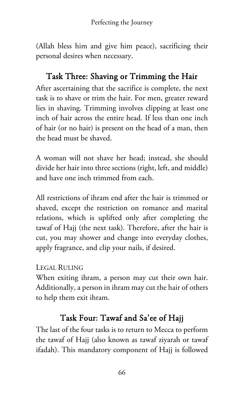(Allah bless him and give him peace), sacrificing their personal desires when necessary.

# Task Three: Shaving or Trimming the Hair

After ascertaining that the sacrifice is complete, the next task is to shave or trim the hair. For men, greater reward lies in shaving. Trimming involves clipping at least one inch of hair across the entire head. If less than one inch of hair (or no hair) is present on the head of a man, then the head must be shaved.

A woman will not shave her head; instead, she should divide her hair into three sections (right, left, and middle) and have one inch trimmed from each.

All restrictions of ihram end after the hair is trimmed or shaved, except the restriction on romance and marital relations, which is uplifted only after completing the tawaf of Hajj (the next task). Therefore, after the hair is cut, you may shower and change into everyday clothes, apply fragrance, and clip your nails, if desired.

#### LEGAL RULING

When exiting ihram, a person may cut their own hair. Additionally, a person in ihram may cut the hair of others to help them exit ihram.

# Task Four: Tawaf and Sa'ee of Hajj

The last of the four tasks is to return to Mecca to perform the tawaf of Hajj (also known as tawaf ziyarah or tawaf ifadah). This mandatory component of Hajj is followed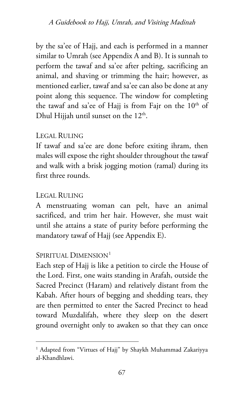by the sa'ee of Hajj, and each is performed in a manner similar to Umrah (see Appendix A and B). It is sunnah to perform the tawaf and sa'ee after pelting, sacrificing an animal, and shaving or trimming the hair; however, as mentioned earlier, tawaf and sa'ee can also be done at any point along this sequence. The window for completing the tawaf and sa'ee of Hajj is from Fajr on the 10<sup>th</sup> of Dhul Hijjah until sunset on the  $12<sup>th</sup>$ .

#### LEGAL RULING

If tawaf and sa'ee are done before exiting ihram, then males will expose the right shoulder throughout the tawaf and walk with a brisk jogging motion (ramal) during its first three rounds.

#### LEGAL RULING

A menstruating woman can pelt, have an animal sacrificed, and trim her hair. However, she must wait until she attains a state of purity before performing the mandatory tawaf of Hajj (see Appendix E).

#### SPIRITUAL DIMENSION<sup>[1](#page-74-0)</sup>

Each step of Hajj is like a petition to circle the House of the Lord. First, one waits standing in Arafah, outside the Sacred Precinct (Haram) and relatively distant from the Kabah. After hours of begging and shedding tears, they are then permitted to enter the Sacred Precinct to head toward Muzdalifah, where they sleep on the desert ground overnight only to awaken so that they can once

<span id="page-74-0"></span><sup>&</sup>lt;sup>1</sup> Adapted from "Virtues of Hajj" by Shaykh Muhammad Zakariyya al-Khandhlawi.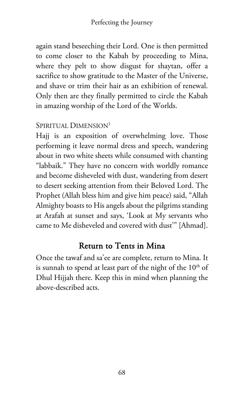again stand beseeching their Lord. One is then permitted to come closer to the Kabah by proceeding to Mina, where they pelt to show disgust for shaytan, offer a sacrifice to show gratitude to the Master of the Universe, and shave or trim their hair as an exhibition of renewal. Only then are they finally permitted to circle the Kabah in amazing worship of the Lord of the Worlds.

# SPIRITUAL DIMENSION<sup>1</sup>

Hajj is an exposition of overwhelming love. Those performing it leave normal dress and speech, wandering about in two white sheets while consumed with chanting "labbaik." They have no concern with worldly romance and become disheveled with dust, wandering from desert to desert seeking attention from their Beloved Lord. The Prophet (Allah bless him and give him peace) said, "Allah Almighty boasts to His angels about the pilgrims standing at Arafah at sunset and says, 'Look at My servants who came to Me disheveled and covered with dust'" [Ahmad].

# Return to Tents in Mina

Once the tawaf and sa'ee are complete, return to Mina. It is sunnah to spend at least part of the night of the 10<sup>th</sup> of Dhul Hijjah there. Keep this in mind when planning the above-described acts.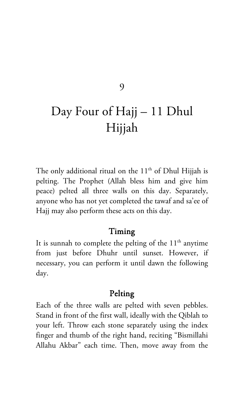#### 9

# Day Four of Hajj – 11 Dhul Hijjah

The only additional ritual on the  $11<sup>th</sup>$  of Dhul Hijjah is pelting. The Prophet (Allah bless him and give him peace) pelted all three walls on this day. Separately, anyone who has not yet completed the tawaf and sa'ee of Hajj may also perform these acts on this day.

#### Timing

It is sunnah to complete the pelting of the  $11<sup>th</sup>$  anytime from just before Dhuhr until sunset. However, if necessary, you can perform it until dawn the following day.

#### Pelting

Each of the three walls are pelted with seven pebbles. Stand in front of the first wall, ideally with the Qiblah to your left. Throw each stone separately using the index finger and thumb of the right hand, reciting "Bismillahi Allahu Akbar" each time. Then, move away from the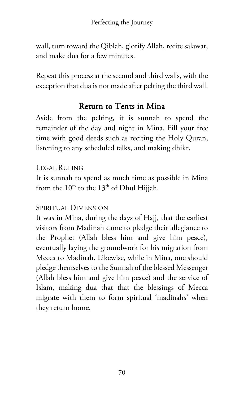wall, turn toward the Qiblah, glorify Allah, recite salawat, and make dua for a few minutes.

Repeat this process at the second and third walls, with the exception that dua is not made after pelting the third wall.

# Return to Tents in Mina

Aside from the pelting, it is sunnah to spend the remainder of the day and night in Mina. Fill your free time with good deeds such as reciting the Holy Quran, listening to any scheduled talks, and making dhikr.

## LEGAL RULING

It is sunnah to spend as much time as possible in Mina from the  $10^{th}$  to the  $13^{th}$  of Dhul Hijjah.

## SPIRITUAL DIMENSION

It was in Mina, during the days of Hajj, that the earliest visitors from Madinah came to pledge their allegiance to the Prophet (Allah bless him and give him peace), eventually laying the groundwork for his migration from Mecca to Madinah. Likewise, while in Mina, one should pledge themselves to the Sunnah of the blessed Messenger (Allah bless him and give him peace) and the service of Islam, making dua that that the blessings of Mecca migrate with them to form spiritual 'madinahs' when they return home.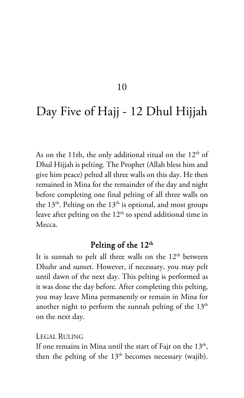10

# Day Five of Hajj - 12 Dhul Hijjah

As on the 11th, the only additional ritual on the  $12<sup>th</sup>$  of Dhul Hijjah is pelting. The Prophet (Allah bless him and give him peace) pelted all three walls on this day. He then remained in Mina for the remainder of the day and night before completing one final pelting of all three walls on the  $13<sup>th</sup>$ . Pelting on the  $13<sup>th</sup>$  is optional, and most groups leave after pelting on the  $12<sup>th</sup>$  to spend additional time in Mecca.

#### Pelting of the 12<sup>th</sup>

It is sunnah to pelt all three walls on the  $12<sup>th</sup>$  between Dhuhr and sunset. However, if necessary, you may pelt until dawn of the next day. This pelting is performed as it was done the day before. After completing this pelting, you may leave Mina permanently or remain in Mina for another night to perform the sunnah pelting of the  $13<sup>th</sup>$ on the next day.

#### LEGAL RULING

If one remains in Mina until the start of Fajr on the  $13<sup>th</sup>$ , then the pelting of the  $13<sup>th</sup>$  becomes necessary (wajib).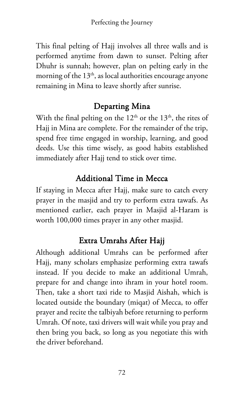This final pelting of Hajj involves all three walls and is performed anytime from dawn to sunset. Pelting after Dhuhr is sunnah; however, plan on pelting early in the morning of the  $13<sup>th</sup>$ , as local authorities encourage anyone remaining in Mina to leave shortly after sunrise.

# Departing Mina

With the final pelting on the  $12<sup>th</sup>$  or the  $13<sup>th</sup>$ , the rites of Hajj in Mina are complete. For the remainder of the trip, spend free time engaged in worship, learning, and good deeds. Use this time wisely, as good habits established immediately after Hajj tend to stick over time.

# Additional Time in Mecca

If staying in Mecca after Hajj, make sure to catch every prayer in the masjid and try to perform extra tawafs. As mentioned earlier, each prayer in Masjid al-Haram is worth 100,000 times prayer in any other masjid.

# Extra Umrahs After Hajj

Although additional Umrahs can be performed after Hajj, many scholars emphasize performing extra tawafs instead. If you decide to make an additional Umrah, prepare for and change into ihram in your hotel room. Then, take a short taxi ride to Masjid Aishah, which is located outside the boundary (miqat) of Mecca, to offer prayer and recite the talbiyah before returning to perform Umrah. Of note, taxi drivers will wait while you pray and then bring you back, so long as you negotiate this with the driver beforehand.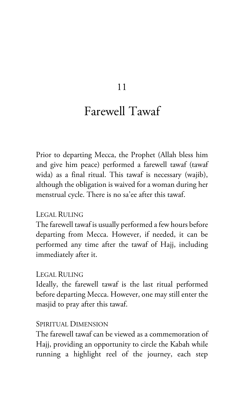#### 11

# Farewell Tawaf

Prior to departing Mecca, the Prophet (Allah bless him and give him peace) performed a farewell tawaf (tawaf wida) as a final ritual. This tawaf is necessary (wajib), although the obligation is waived for a woman during her menstrual cycle. There is no sa'ee after this tawaf.

#### LEGAL RULING

The farewell tawaf is usually performed a few hours before departing from Mecca. However, if needed, it can be performed any time after the tawaf of Hajj, including immediately after it.

#### LEGAL RULING

Ideally, the farewell tawaf is the last ritual performed before departing Mecca. However, one may still enter the masjid to pray after this tawaf.

#### SPIRITUAL DIMENSION

The farewell tawaf can be viewed as a commemoration of Hajj, providing an opportunity to circle the Kabah while running a highlight reel of the journey, each step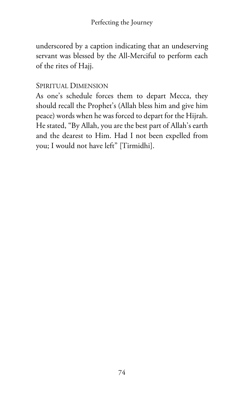underscored by a caption indicating that an undeserving servant was blessed by the All-Merciful to perform each of the rites of Hajj.

#### SPIRITUAL DIMENSION

As one's schedule forces them to depart Mecca, they should recall the Prophet's (Allah bless him and give him peace) words when he was forced to depart for the Hijrah. He stated, "By Allah, you are the best part of Allah's earth and the dearest to Him. Had I not been expelled from you; I would not have left" [Tirmidhi].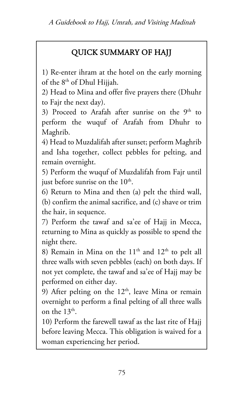# QUICK SUMMARY OF HAJJ

1) Re-enter ihram at the hotel on the early morning of the 8th of Dhul Hijjah.

2) Head to Mina and offer five prayers there (Dhuhr to Fajr the next day).

3) Proceed to Arafah after sunrise on the  $9<sup>th</sup>$  to perform the wuquf of Arafah from Dhuhr to Maghrib.

4) Head to Muzdalifah after sunset; perform Maghrib and Isha together, collect pebbles for pelting, and remain overnight.

5) Perform the wuquf of Muzdalifah from Fajr until just before sunrise on the  $10<sup>th</sup>$ .

6) Return to Mina and then (a) pelt the third wall, (b) confirm the animal sacrifice, and (c) shave or trim the hair, in sequence.

7) Perform the tawaf and sa'ee of Hajj in Mecca, returning to Mina as quickly as possible to spend the night there.

8) Remain in Mina on the  $11<sup>th</sup>$  and  $12<sup>th</sup>$  to pelt all three walls with seven pebbles (each) on both days. If not yet complete, the tawaf and sa'ee of Hajj may be performed on either day.

9) After pelting on the  $12<sup>th</sup>$ , leave Mina or remain overnight to perform a final pelting of all three walls on the  $13<sup>th</sup>$ .

10) Perform the farewell tawaf as the last rite of Hajj before leaving Mecca. This obligation is waived for a woman experiencing her period.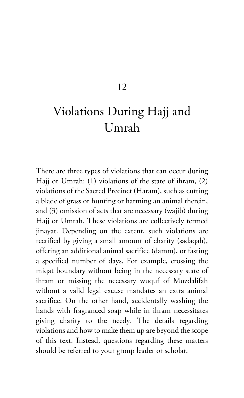# 12

# Violations During Hajj and Umrah

There are three types of violations that can occur during Hajj or Umrah: (1) violations of the state of ihram, (2) violations of the Sacred Precinct (Haram), such as cutting a blade of grass or hunting or harming an animal therein, and (3) omission of acts that are necessary (wajib) during Hajj or Umrah. These violations are collectively termed jinayat. Depending on the extent, such violations are rectified by giving a small amount of charity (sadaqah), offering an additional animal sacrifice (damm), or fasting a specified number of days. For example, crossing the miqat boundary without being in the necessary state of ihram or missing the necessary wuquf of Muzdalifah without a valid legal excuse mandates an extra animal sacrifice. On the other hand, accidentally washing the hands with fragranced soap while in ihram necessitates giving charity to the needy. The details regarding violations and how to make them up are beyond the scope of this text. Instead, questions regarding these matters should be referred to your group leader or scholar.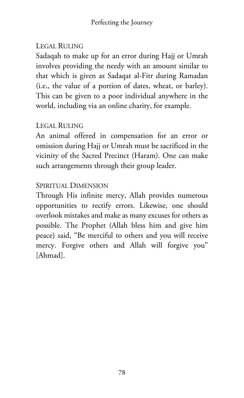## LEGAL RULING

Sadaqah to make up for an error during Hajj or Umrah involves providing the needy with an amount similar to that which is given as Sadaqat al-Fitr during Ramadan (i.e., the value of a portion of dates, wheat, or barley). This can be given to a poor individual anywhere in the world, including via an online charity, for example.

#### LEGAL RULING

An animal offered in compensation for an error or omission during Hajj or Umrah must be sacrificed in the vicinity of the Sacred Precinct (Haram). One can make such arrangements through their group leader.

## SPIRITUAL DIMENSION

Through His infinite mercy, Allah provides numerous opportunities to rectify errors. Likewise, one should overlook mistakes and make as many excuses for others as possible. The Prophet (Allah bless him and give him peace) said, "Be merciful to others and you will receive mercy. Forgive others and Allah will forgive you" [Ahmad].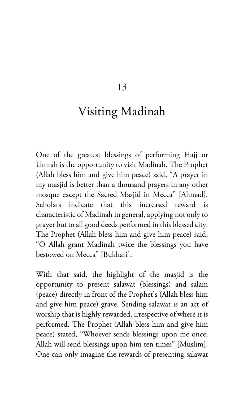13

# Visiting Madinah

One of the greatest blessings of performing Hajj or Umrah is the opportunity to visit Madinah. The Prophet (Allah bless him and give him peace) said, "A prayer in my masjid is better than a thousand prayers in any other mosque except the Sacred Masjid in Mecca" [Ahmad]. Scholars indicate that this increased reward is characteristic of Madinah in general, applying not only to prayer but to all good deeds performed in this blessed city. The Prophet (Allah bless him and give him peace) said, "O Allah grant Madinah twice the blessings you have bestowed on Mecca" [Bukhari].

With that said, the highlight of the masjid is the opportunity to present salawat (blessings) and salam (peace) directly in front of the Prophet's (Allah bless him and give him peace) grave. Sending salawat is an act of worship that is highly rewarded, irrespective of where it is performed. The Prophet (Allah bless him and give him peace) stated, "Whoever sends blessings upon me once, Allah will send blessings upon him ten times" [Muslim]. One can only imagine the rewards of presenting salawat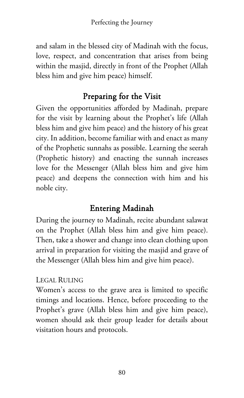and salam in the blessed city of Madinah with the focus, love, respect, and concentration that arises from being within the masjid, directly in front of the Prophet (Allah bless him and give him peace) himself.

# Preparing for the Visit

Given the opportunities afforded by Madinah, prepare for the visit by learning about the Prophet's life (Allah bless him and give him peace) and the history of his great city. In addition, become familiar with and enact as many of the Prophetic sunnahs as possible. Learning the seerah (Prophetic history) and enacting the sunnah increases love for the Messenger (Allah bless him and give him peace) and deepens the connection with him and his noble city.

# Entering Madinah

During the journey to Madinah, recite abundant salawat on the Prophet (Allah bless him and give him peace). Then, take a shower and change into clean clothing upon arrival in preparation for visiting the masjid and grave of the Messenger (Allah bless him and give him peace).

# LEGAL RULING

Women's access to the grave area is limited to specific timings and locations. Hence, before proceeding to the Prophet's grave (Allah bless him and give him peace), women should ask their group leader for details about visitation hours and protocols.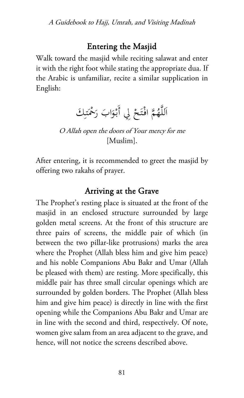## Entering the Masjid

Walk toward the masjid while reciting salawat and enter it with the right foot while stating the appropriate dua. If the Arabic is unfamiliar, recite a similar supplication in English:

> ِاللَّهُمَّ افْتَحْ لِي أَبْوَابَ رَحْمَتِكَ ن:<br>ا ا

O Allah open the doors of Your mercy for me [Muslim].

After entering, it is recommended to greet the masjid by offering two rakahs of prayer.

# Arriving at the Grave

The Prophet's resting place is situated at the front of the masjid in an enclosed structure surrounded by large golden metal screens. At the front of this structure are three pairs of screens, the middle pair of which (in between the two pillar-like protrusions) marks the area where the Prophet (Allah bless him and give him peace) and his noble Companions Abu Bakr and Umar (Allah be pleased with them) are resting. More specifically, this middle pair has three small circular openings which are surrounded by golden borders. The Prophet (Allah bless him and give him peace) is directly in line with the first opening while the Companions Abu Bakr and Umar are in line with the second and third, respectively. Of note, women give salam from an area adjacent to the grave, and hence, will not notice the screens described above.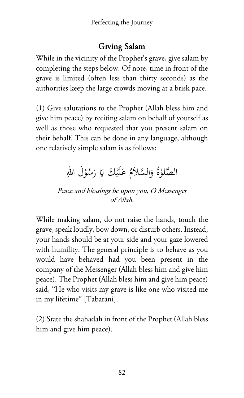# Giving Salam

While in the vicinity of the Prophet's grave, give salam by completing the steps below. Of note, time in front of the grave is limited (often less than thirty seconds) as the authorities keep the large crowds moving at a brisk pace.

(1) Give salutations to the Prophet (Allah bless him and give him peace) by reciting salam on behalf of yourself as well as those who requested that you present salam on their behalf. This can be done in any language, although one relatively simple salam is as follows:

# الصَّلوٰةُ وَالسَّلاَمُ عَلَيْكَ يَا رَسُوْلَ اللهِ **ء**

Peace and blessings be upon you, O Messenger of Allah.

While making salam, do not raise the hands, touch the grave, speak loudly, bow down, or disturb others. Instead, your hands should be at your side and your gaze lowered with humility. The general principle is to behave as you would have behaved had you been present in the company of the Messenger (Allah bless him and give him peace). The Prophet (Allah bless him and give him peace) said, "He who visits my grave is like one who visited me in my lifetime" [Tabarani].

(2) State the shahadah in front of the Prophet (Allah bless him and give him peace).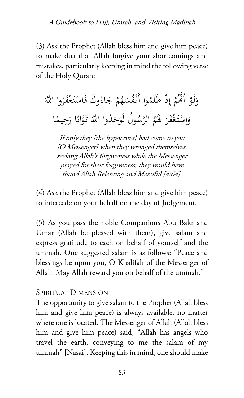(3) Ask the Prophet (Allah bless him and give him peace) to make dua that Allah forgive your shortcomings and mistakes, particularly keeping in mind the following verse of the Holy Quran:

ْ لَو َ َ و ُ َّ وا اهلل َر ْف َغ ْتـ َاس ُ َوك ف َاء ْ ج ُم َه ُس ْف ُوا أَنـ َم َل ِ ْذ ظ ْ إ ُم � أََّ ا ً ِ يم َح ً ر وااب ََّ َ تـ ُ َّ وا اهلل َد َج ُ ُول لَو َّس ُ الر م ُ َ َ له َر ْف َغ ْتـ َاس و

If only they [the hypocrites] had come to you [O Messenger] when they wronged themselves, seeking Allah's forgiveness while the Messenger prayed for their forgiveness, they would have found Allah Relenting and Merciful [4:64].

(4) Ask the Prophet (Allah bless him and give him peace) to intercede on your behalf on the day of Judgement.

(5) As you pass the noble Companions Abu Bakr and Umar (Allah be pleased with them), give salam and express gratitude to each on behalf of yourself and the ummah. One suggested salam is as follows: "Peace and blessings be upon you, O Khalifah of the Messenger of Allah. May Allah reward you on behalf of the ummah."

#### SPIRITUAL DIMENSION

The opportunity to give salam to the Prophet (Allah bless him and give him peace) is always available, no matter where one is located. The Messenger of Allah (Allah bless him and give him peace) said, "Allah has angels who travel the earth, conveying to me the salam of my ummah" [Nasai]. Keeping this in mind, one should make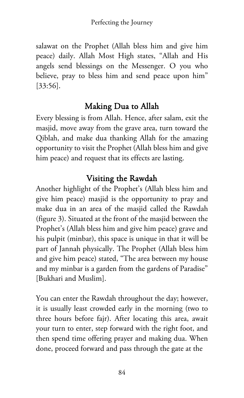salawat on the Prophet (Allah bless him and give him peace) daily. Allah Most High states, "Allah and His angels send blessings on the Messenger. O you who believe, pray to bless him and send peace upon him" [33:56].

# Making Dua to Allah

Every blessing is from Allah. Hence, after salam, exit the masjid, move away from the grave area, turn toward the Qiblah, and make dua thanking Allah for the amazing opportunity to visit the Prophet (Allah bless him and give him peace) and request that its effects are lasting.

# Visiting the Rawdah

Another highlight of the Prophet's (Allah bless him and give him peace) masjid is the opportunity to pray and make dua in an area of the masjid called the Rawdah (figure 3). Situated at the front of the masjid between the Prophet's (Allah bless him and give him peace) grave and his pulpit (minbar), this space is unique in that it will be part of Jannah physically. The Prophet (Allah bless him and give him peace) stated, "The area between my house and my minbar is a garden from the gardens of Paradise" [Bukhari and Muslim].

You can enter the Rawdah throughout the day; however, it is usually least crowded early in the morning (two to three hours before fajr). After locating this area, await your turn to enter, step forward with the right foot, and then spend time offering prayer and making dua. When done, proceed forward and pass through the gate at the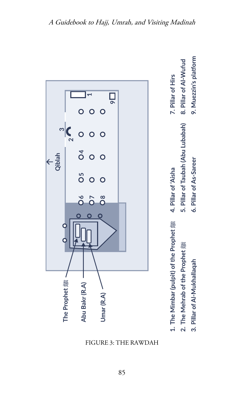

FIGURE 3: THE RAWDAH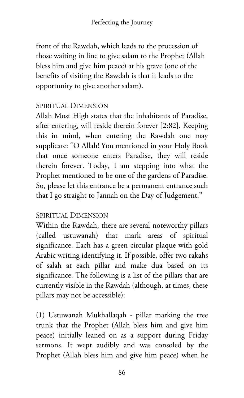front of the Rawdah, which leads to the procession of those waiting in line to give salam to the Prophet (Allah bless him and give him peace) at his grave (one of the benefits of visiting the Rawdah is that it leads to the opportunity to give another salam).

#### SPIRITUAL DIMENSION

Allah Most High states that the inhabitants of Paradise, after entering, will reside therein forever [2:82]. Keeping this in mind, when entering the Rawdah one may supplicate: "O Allah! You mentioned in your Holy Book that once someone enters Paradise, they will reside therein forever. Today, I am stepping into what the Prophet mentioned to be one of the gardens of Paradise. So, please let this entrance be a permanent entrance such that I go straight to Jannah on the Day of Judgement."

#### SPIRITUAL DIMENSION

Within the Rawdah, there are several noteworthy pillars (called ustuwanah) that mark areas of spiritual significance. Each has a green circular plaque with gold Arabic writing identifying it. If possible, offer two rakahs of salah at each pillar and make dua based on its significance. The following is a list of the pillars that are currently visible in the Rawdah (although, at times, these pillars may not be accessible):

(1) Ustuwanah Mukhallaqah - pillar marking the tree trunk that the Prophet (Allah bless him and give him peace) initially leaned on as a support during Friday sermons. It wept audibly and was consoled by the Prophet (Allah bless him and give him peace) when he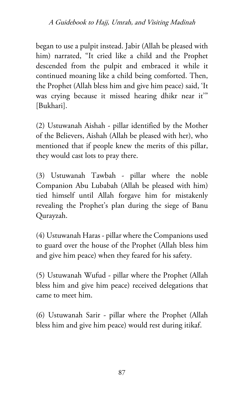began to use a pulpit instead. Jabir (Allah be pleased with him) narrated, "It cried like a child and the Prophet descended from the pulpit and embraced it while it continued moaning like a child being comforted. Then, the Prophet (Allah bless him and give him peace) said, 'It was crying because it missed hearing dhikr near it'" [Bukhari].

(2) Ustuwanah Aishah - pillar identified by the Mother of the Believers, Aishah (Allah be pleased with her), who mentioned that if people knew the merits of this pillar, they would cast lots to pray there.

(3) Ustuwanah Tawbah - pillar where the noble Companion Abu Lubabah (Allah be pleased with him) tied himself until Allah forgave him for mistakenly revealing the Prophet's plan during the siege of Banu Qurayzah.

(4) Ustuwanah Haras - pillar where the Companions used to guard over the house of the Prophet (Allah bless him and give him peace) when they feared for his safety.

(5) Ustuwanah Wufud - pillar where the Prophet (Allah bless him and give him peace) received delegations that came to meet him.

(6) Ustuwanah Sarir - pillar where the Prophet (Allah bless him and give him peace) would rest during itikaf.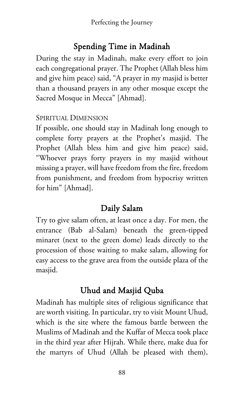# Spending Time in Madinah

During the stay in Madinah, make every effort to join each congregational prayer. The Prophet (Allah bless him and give him peace) said, "A prayer in my masjid is better than a thousand prayers in any other mosque except the Sacred Mosque in Mecca" [Ahmad].

#### SPIRITUAL DIMENSION

If possible, one should stay in Madinah long enough to complete forty prayers at the Prophet's masjid. The Prophet (Allah bless him and give him peace) said, "Whoever prays forty prayers in my masjid without missing a prayer, will have freedom from the fire, freedom from punishment, and freedom from hypocrisy written for him" [Ahmad].

# Daily Salam

Try to give salam often, at least once a day. For men, the entrance (Bab al-Salam) beneath the green-tipped minaret (next to the green dome) leads directly to the procession of those waiting to make salam, allowing for easy access to the grave area from the outside plaza of the masjid.

# Uhud and Masjid Quba

Madinah has multiple sites of religious significance that are worth visiting. In particular, try to visit Mount Uhud, which is the site where the famous battle between the Muslims of Madinah and the Kuffar of Mecca took place in the third year after Hijrah. While there, make dua for the martyrs of Uhud (Allah be pleased with them),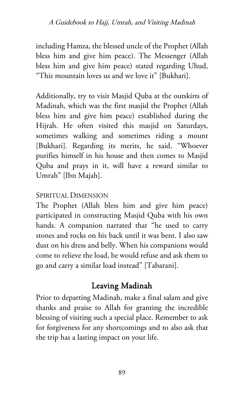including Hamza, the blessed uncle of the Prophet (Allah bless him and give him peace). The Messenger (Allah bless him and give him peace) stated regarding Uhud, "This mountain loves us and we love it" [Bukhari].

Additionally, try to visit Masjid Quba at the outskirts of Madinah, which was the first masjid the Prophet (Allah bless him and give him peace) established during the Hijrah. He often visited this masjid on Saturdays, sometimes walking and sometimes riding a mount [Bukhari]. Regarding its merits, he said, "Whoever purifies himself in his house and then comes to Masjid Quba and prays in it, will have a reward similar to Umrah" [Ibn Majah].

## SPIRITUAL DIMENSION

The Prophet (Allah bless him and give him peace) participated in constructing Masjid Quba with his own hands. A companion narrated that "he used to carry stones and rocks on his back until it was bent. I also saw dust on his dress and belly. When his companions would come to relieve the load, he would refuse and ask them to go and carry a similar load instead" [Tabarani].

# Leaving Madinah

Prior to departing Madinah, make a final salam and give thanks and praise to Allah for granting the incredible blessing of visiting such a special place. Remember to ask for forgiveness for any shortcomings and to also ask that the trip has a lasting impact on your life.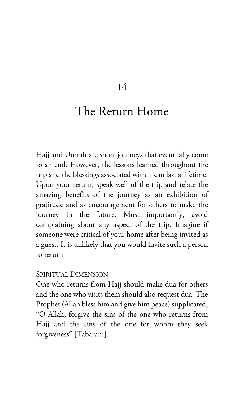### 14

# The Return Home

Hajj and Umrah are short journeys that eventually come to an end. However, the lessons learned throughout the trip and the blessings associated with it can last a lifetime. Upon your return, speak well of the trip and relate the amazing benefits of the journey as an exhibition of gratitude and as encouragement for others to make the journey in the future. Most importantly, avoid complaining about any aspect of the trip. Imagine if someone were critical of your home after being invited as a guest. It is unlikely that you would invite such a person to return.

#### SPIRITUAL DIMENSION

One who returns from Hajj should make dua for others and the one who visits them should also request dua. The Prophet (Allah bless him and give him peace) supplicated, "O Allah, forgive the sins of the one who returns from Hajj and the sins of the one for whom they seek forgiveness" [Tabarani].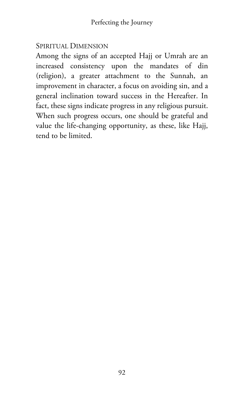#### SPIRITUAL DIMENSION

Among the signs of an accepted Hajj or Umrah are an increased consistency upon the mandates of din (religion), a greater attachment to the Sunnah, an improvement in character, a focus on avoiding sin, and a general inclination toward success in the Hereafter. In fact, these signs indicate progress in any religious pursuit. When such progress occurs, one should be grateful and value the life-changing opportunity, as these, like Hajj, tend to be limited.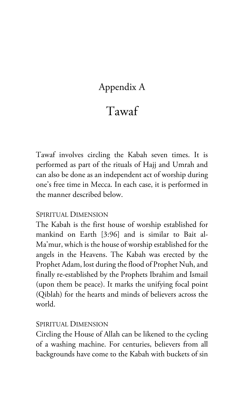# Appendix A

# Tawaf

Tawaf involves circling the Kabah seven times. It is performed as part of the rituals of Hajj and Umrah and can also be done as an independent act of worship during one's free time in Mecca. In each case, it is performed in the manner described below.

#### SPIRITUAL DIMENSION

The Kabah is the first house of worship established for mankind on Earth [3:96] and is similar to Bait al-Ma'mur, which is the house of worship established for the angels in the Heavens. The Kabah was erected by the Prophet Adam, lost during the flood of Prophet Nuh, and finally re-established by the Prophets Ibrahim and Ismail (upon them be peace). It marks the unifying focal point (Qiblah) for the hearts and minds of believers across the world.

#### SPIRITUAL DIMENSION

Circling the House of Allah can be likened to the cycling of a washing machine. For centuries, believers from all backgrounds have come to the Kabah with buckets of sin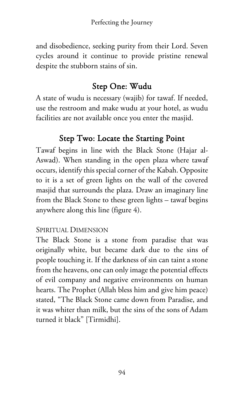and disobedience, seeking purity from their Lord. Seven cycles around it continue to provide pristine renewal despite the stubborn stains of sin.

# Step One: Wudu

A state of wudu is necessary (wajib) for tawaf. If needed, use the restroom and make wudu at your hotel, as wudu facilities are not available once you enter the masjid.

# Step Two: Locate the Starting Point

Tawaf begins in line with the Black Stone (Hajar al-Aswad). When standing in the open plaza where tawaf occurs, identify this special corner of the Kabah. Opposite to it is a set of green lights on the wall of the covered masjid that surrounds the plaza. Draw an imaginary line from the Black Stone to these green lights – tawaf begins anywhere along this line (figure 4).

## SPIRITUAL DIMENSION

The Black Stone is a stone from paradise that was originally white, but became dark due to the sins of people touching it. If the darkness of sin can taint a stone from the heavens, one can only image the potential effects of evil company and negative environments on human hearts. The Prophet (Allah bless him and give him peace) stated, "The Black Stone came down from Paradise, and it was whiter than milk, but the sins of the sons of Adam turned it black" [Tirmidhi].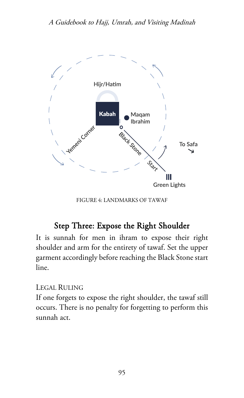

FIGURE 4: LANDMARKS OF TAWAF

# Step Three: Expose the Right Shoulder

It is sunnah for men in ihram to expose their right shoulder and arm for the entirety of tawaf. Set the upper garment accordingly before reaching the Black Stone start line.

#### LEGAL RULING

If one forgets to expose the right shoulder, the tawaf still occurs. There is no penalty for forgetting to perform this sunnah act.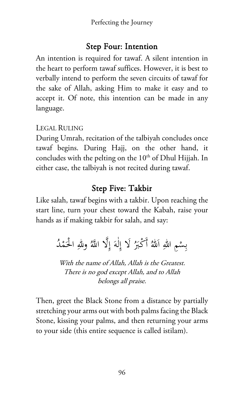# Step Four: Intention

An intention is required for tawaf. A silent intention in the heart to perform tawaf suffices. However, it is best to verbally intend to perform the seven circuits of tawaf for the sake of Allah, asking Him to make it easy and to accept it. Of note, this intention can be made in any language.

### LEGAL RULING

During Umrah, recitation of the talbiyah concludes once tawaf begins. During Hajj, on the other hand, it concludes with the pelting on the  $10<sup>th</sup>$  of Dhul Hijjah. In either case, the talbiyah is not recited during tawaf.

# Step Five: Takbir

Like salah, tawaf begins with a takbir. Upon reaching the start line, turn your chest toward the Kabah, raise your hands as if making takbir for salah, and say:

> بِسْمِ اللهِ اَللهُ أَكْبَرُ لَا إِلٰهَ إِلَّا اللَّهُ وللهِ الْحَمْدُ **ـ** ل ِ ِ.<br>.

With the name of Allah, Allah is the Greatest. There is no god except Allah, and to Allah belongs all praise.

Then, greet the Black Stone from a distance by partially stretching your arms out with both palms facing the Black Stone, kissing your palms, and then returning your arms to your side (this entire sequence is called istilam).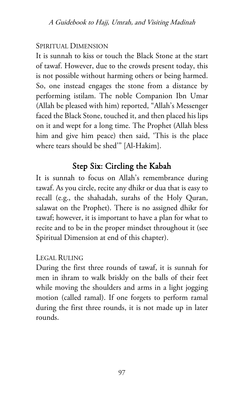#### SPIRITUAL DIMENSION

It is sunnah to kiss or touch the Black Stone at the start of tawaf. However, due to the crowds present today, this is not possible without harming others or being harmed. So, one instead engages the stone from a distance by performing istilam. The noble Companion Ibn Umar (Allah be pleased with him) reported, "Allah's Messenger faced the Black Stone, touched it, and then placed his lips on it and wept for a long time. The Prophet (Allah bless him and give him peace) then said, 'This is the place where tears should be shed'" [Al-Hakim].

# Step Six: Circling the Kabah

It is sunnah to focus on Allah's remembrance during tawaf. As you circle, recite any dhikr or dua that is easy to recall (e.g., the shahadah, surahs of the Holy Quran, salawat on the Prophet). There is no assigned dhikr for tawaf; however, it is important to have a plan for what to recite and to be in the proper mindset throughout it (see Spiritual Dimension at end of this chapter).

#### LEGAL RULING

During the first three rounds of tawaf, it is sunnah for men in ihram to walk briskly on the balls of their feet while moving the shoulders and arms in a light jogging motion (called ramal). If one forgets to perform ramal during the first three rounds, it is not made up in later rounds.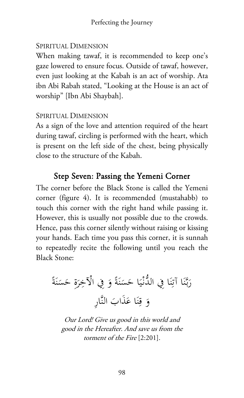#### SPIRITUAL DIMENSION

When making tawaf, it is recommended to keep one's gaze lowered to ensure focus. Outside of tawaf, however, even just looking at the Kabah is an act of worship. Ata ibn Abi Rabah stated, "Looking at the House is an act of worship" [Ibn Abi Shaybah].

#### SPIRITUAL DIMENSION

As a sign of the love and attention required of the heart during tawaf, circling is performed with the heart, which is present on the left side of the chest, being physically close to the structure of the Kabah.

# Step Seven: Passing the Yemeni Corner

The corner before the Black Stone is called the Yemeni corner (figure 4). It is recommended (mustahabb) to touch this corner with the right hand while passing it. However, this is usually not possible due to the crowds. Hence, pass this corner silently without raising or kissing your hands. Each time you pass this corner, it is sunnah to repeatedly recite the following until you reach the Black Stone:

 $\ddot{\phantom{0}}$ رَبَّنَا آتِنَا فِي الدُّنْيَا حَسَنَةً وَ فِي الْآخِرَةِ حَسَنَةً ن ِ<br>ِن ن ن  $\ddot{\phantom{0}}$ ر<br>ا وَ قِنَا عَذَابَ النَّارِ َ ن ِ

Our Lord! Give us good in this world and good in the Hereafter. And save us from the torment of the Fire [2:201].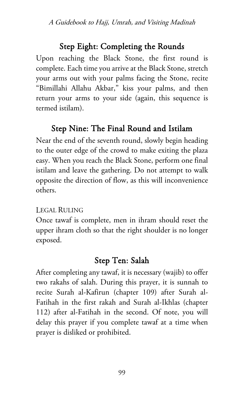# Step Eight: Completing the Rounds

Upon reaching the Black Stone, the first round is complete. Each time you arrive at the Black Stone, stretch your arms out with your palms facing the Stone, recite "Bimillahi Allahu Akbar," kiss your palms, and then return your arms to your side (again, this sequence is termed istilam).

# Step Nine: The Final Round and Istilam

Near the end of the seventh round, slowly begin heading to the outer edge of the crowd to make exiting the plaza easy. When you reach the Black Stone, perform one final istilam and leave the gathering. Do not attempt to walk opposite the direction of flow, as this will inconvenience others.

## LEGAL RULING

Once tawaf is complete, men in ihram should reset the upper ihram cloth so that the right shoulder is no longer exposed.

# Step Ten: Salah

After completing any tawaf, it is necessary (wajib) to offer two rakahs of salah. During this prayer, it is sunnah to recite Surah al-Kafirun (chapter 109) after Surah al-Fatihah in the first rakah and Surah al-Ikhlas (chapter 112) after al-Fatihah in the second. Of note, you will delay this prayer if you complete tawaf at a time when prayer is disliked or prohibited.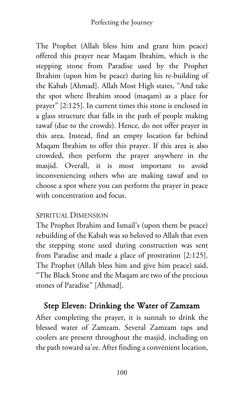#### Perfecting the Journey

The Prophet (Allah bless him and grant him peace) offered this prayer near Maqam Ibrahim, which is the stepping stone from Paradise used by the Prophet Ibrahim (upon him be peace) during his re-building of the Kabah [Ahmad]. Allah Most High states, "And take the spot where Ibrahim stood (maqam) as a place for prayer" [2:125]. In current times this stone is enclosed in a glass structure that falls in the path of people making tawaf (due to the crowds). Hence, do not offer prayer in this area. Instead, find an empty location far behind Maqam Ibrahim to offer this prayer. If this area is also crowded, then perform the prayer anywhere in the masjid. Overall, it is most important to avoid inconveniencing others who are making tawaf and to choose a spot where you can perform the prayer in peace with concentration and focus.

#### SPIRITUAL DIMENSION

The Prophet Ibrahim and Ismail's (upon them be peace) rebuilding of the Kabah was so beloved to Allah that even the stepping stone used during construction was sent from Paradise and made a place of prostration [2:125]. The Prophet (Allah bless him and give him peace) said, "The Black Stone and the Maqam are two of the precious stones of Paradise" [Ahmad].

# Step Eleven: Drinking the Water of Zamzam

After completing the prayer, it is sunnah to drink the blessed water of Zamzam. Several Zamzam taps and coolers are present throughout the masjid, including on the path toward sa'ee. After finding a convenient location,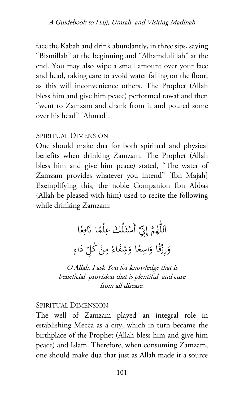face the Kabah and drink abundantly, in three sips, saying "Bismillah" at the beginning and "Alhamdulillah" at the end. You may also wipe a small amount over your face and head, taking care to avoid water falling on the floor, as this will inconvenience others. The Prophet (Allah bless him and give him peace) performed tawaf and then "went to Zamzam and drank from it and poured some over his head" [Ahmad].

#### SPIRITUAL DIMENSION

One should make dua for both spiritual and physical benefits when drinking Zamzam. The Prophet (Allah bless him and give him peace) stated, "The water of Zamzam provides whatever you intend" [Ibn Majah] Exemplifying this, the noble Companion Ibn Abbas (Allah be pleased with him) used to recite the following while drinking Zamzam:

> اَللّٰهُمَّ إِنِّ أَسْئَلُكَ عِلْمًا نَافِعًا **ً** ِ ِ <u>ء</u> وَرِزْقًا وَاسِعًا وَشِفَاءً مِنْ كُلِّ دَاءٍ َ

O Allah, I ask You for knowledge that is beneficial, provision that is plentiful, and cure from all disease.

#### SPIRITUAL DIMENSION

The well of Zamzam played an integral role in establishing Mecca as a city, which in turn became the birthplace of the Prophet (Allah bless him and give him peace) and Islam. Therefore, when consuming Zamzam, one should make dua that just as Allah made it a source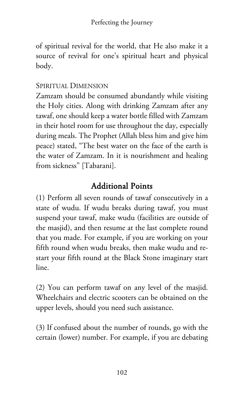of spiritual revival for the world, that He also make it a source of revival for one's spiritual heart and physical body.

#### SPIRITUAL DIMENSION

Zamzam should be consumed abundantly while visiting the Holy cities. Along with drinking Zamzam after any tawaf, one should keep a water bottle filled with Zamzam in their hotel room for use throughout the day, especially during meals. The Prophet (Allah bless him and give him peace) stated, "The best water on the face of the earth is the water of Zamzam. In it is nourishment and healing from sickness" [Tabarani].

## Additional Points

(1) Perform all seven rounds of tawaf consecutively in a state of wudu. If wudu breaks during tawaf, you must suspend your tawaf, make wudu (facilities are outside of the masjid), and then resume at the last complete round that you made. For example, if you are working on your fifth round when wudu breaks, then make wudu and restart your fifth round at the Black Stone imaginary start line.

(2) You can perform tawaf on any level of the masjid. Wheelchairs and electric scooters can be obtained on the upper levels, should you need such assistance.

(3) If confused about the number of rounds, go with the certain (lower) number. For example, if you are debating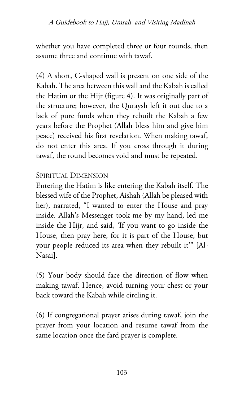whether you have completed three or four rounds, then assume three and continue with tawaf.

(4) A short, C-shaped wall is present on one side of the Kabah. The area between this wall and the Kabah is called the Hatim or the Hijr (figure 4). It was originally part of the structure; however, the Quraysh left it out due to a lack of pure funds when they rebuilt the Kabah a few years before the Prophet (Allah bless him and give him peace) received his first revelation. When making tawaf, do not enter this area. If you cross through it during tawaf, the round becomes void and must be repeated.

#### SPIRITUAL DIMENSION

Entering the Hatim is like entering the Kabah itself. The blessed wife of the Prophet, Aishah (Allah be pleased with her), narrated, "I wanted to enter the House and pray inside. Allah's Messenger took me by my hand, led me inside the Hijr, and said, 'If you want to go inside the House, then pray here, for it is part of the House, but your people reduced its area when they rebuilt it'" [Al-Nasai].

(5) Your body should face the direction of flow when making tawaf. Hence, avoid turning your chest or your back toward the Kabah while circling it.

(6) If congregational prayer arises during tawaf, join the prayer from your location and resume tawaf from the same location once the fard prayer is complete.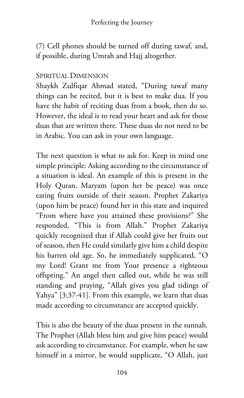(7) Cell phones should be turned off during tawaf, and, if possible, during Umrah and Hajj altogether.

#### SPIRITUAL DIMENSION

Shaykh Zulfiqar Ahmad stated, "During tawaf many things can be recited, but it is best to make dua. If you have the habit of reciting duas from a book, then do so. However, the ideal is to read your heart and ask for those duas that are written there. These duas do not need to be in Arabic. You can ask in your own language.

The next question is what to ask for. Keep in mind one simple principle: Asking according to the circumstance of a situation is ideal. An example of this is present in the Holy Quran. Maryam (upon her be peace) was once eating fruits outside of their season. Prophet Zakariya (upon him be peace) found her in this state and inquired "From where have you attained these provisions?" She responded, "This is from Allah." Prophet Zakariya quickly recognized that if Allah could give her fruits out of season, then He could similarly give him a child despite his barren old age. So, he immediately supplicated, "O my Lord! Grant me from Your presence a righteous offspring." An angel then called out, while he was still standing and praying, "Allah gives you glad tidings of Yahya" [3:37-41]. From this example, we learn that duas made according to circumstance are accepted quickly.

This is also the beauty of the duas present in the sunnah. The Prophet (Allah bless him and give him peace) would ask according to circumstance. For example, when he saw himself in a mirror, he would supplicate, "O Allah, just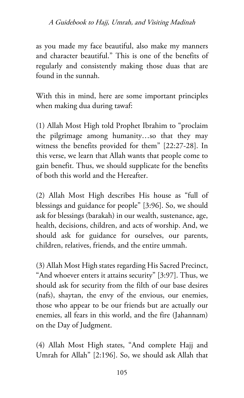as you made my face beautiful, also make my manners and character beautiful." This is one of the benefits of regularly and consistently making those duas that are found in the sunnah.

With this in mind, here are some important principles when making dua during tawaf:

(1) Allah Most High told Prophet Ibrahim to "proclaim the pilgrimage among humanity…so that they may witness the benefits provided for them" [22:27-28]. In this verse, we learn that Allah wants that people come to gain benefit. Thus, we should supplicate for the benefits of both this world and the Hereafter.

(2) Allah Most High describes His house as "full of blessings and guidance for people" [3:96]. So, we should ask for blessings (barakah) in our wealth, sustenance, age, health, decisions, children, and acts of worship. And, we should ask for guidance for ourselves, our parents, children, relatives, friends, and the entire ummah.

(3) Allah Most High states regarding His Sacred Precinct, "And whoever enters it attains security" [3:97]. Thus, we should ask for security from the filth of our base desires (nafs), shaytan, the envy of the envious, our enemies, those who appear to be our friends but are actually our enemies, all fears in this world, and the fire (Jahannam) on the Day of Judgment.

(4) Allah Most High states, "And complete Hajj and Umrah for Allah" [2:196]. So, we should ask Allah that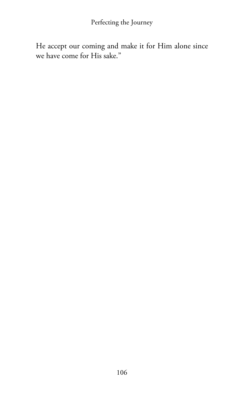He accept our coming and make it for Him alone since we have come for His sake."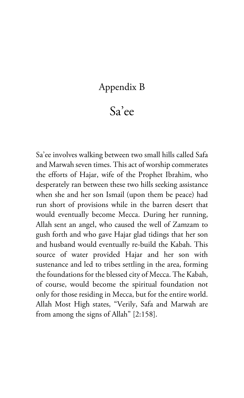### Appendix B

# Sa'ee

Sa'ee involves walking between two small hills called Safa and Marwah seven times. This act of worship commerates the efforts of Hajar, wife of the Prophet Ibrahim, who desperately ran between these two hills seeking assistance when she and her son Ismail (upon them be peace) had run short of provisions while in the barren desert that would eventually become Mecca. During her running, Allah sent an angel, who caused the well of Zamzam to gush forth and who gave Hajar glad tidings that her son and husband would eventually re-build the Kabah. This source of water provided Hajar and her son with sustenance and led to tribes settling in the area, forming the foundations for the blessed city of Mecca. The Kabah, of course, would become the spiritual foundation not only for those residing in Mecca, but for the entire world. Allah Most High states, "Verily, Safa and Marwah are from among the signs of Allah" [2:158].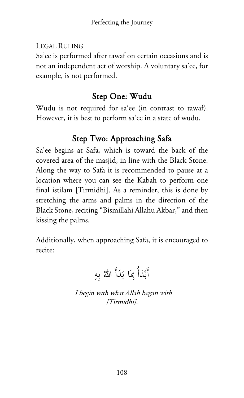LEGAL RULING

Sa'ee is performed after tawaf on certain occasions and is not an independent act of worship. A voluntary sa'ee, for example, is not performed.

## Step One: Wudu

Wudu is not required for sa'ee (in contrast to tawaf). However, it is best to perform sa'ee in a state of wudu.

# Step Two: Approaching Safa

Sa'ee begins at Safa, which is toward the back of the covered area of the masjid, in line with the Black Stone. Along the way to Safa it is recommended to pause at a location where you can see the Kabah to perform one final istilam [Tirmidhi]. As a reminder, this is done by stretching the arms and palms in the direction of the Black Stone, reciting "Bismillahi Allahu Akbar," and then kissing the palms.

Additionally, when approaching Safa, it is encouraged to recite:

ِ ِه ُ ب َأَ الله د َ َا ب ِ َأُ بم ْد أَب

I begin with what Allah began with [Tirmidhi].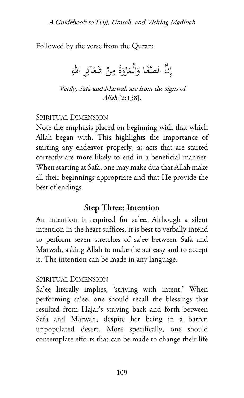Followed by the verse from the Quran:

 $\ddot{\circ}$ إِنَّ الصَّفَا وَالْمَرْوَةَ مِنْ شَعَآئِرِ اللهِ َ َ و<br>م

Verily, Safa and Marwah are from the signs of Allah [2:158].

SPIRITUAL DIMENSION

Note the emphasis placed on beginning with that which Allah began with. This highlights the importance of starting any endeavor properly, as acts that are started correctly are more likely to end in a beneficial manner. When starting at Safa, one may make dua that Allah make all their beginnings appropriate and that He provide the best of endings.

### Step Three: Intention

An intention is required for sa'ee. Although a silent intention in the heart suffices, it is best to verbally intend to perform seven stretches of sa'ee between Safa and Marwah, asking Allah to make the act easy and to accept it. The intention can be made in any language.

#### SPIRITUAL DIMENSION

Sa'ee literally implies, 'striving with intent.' When performing sa'ee, one should recall the blessings that resulted from Hajar's striving back and forth between Safa and Marwah, despite her being in a barren unpopulated desert. More specifically, one should contemplate efforts that can be made to change their life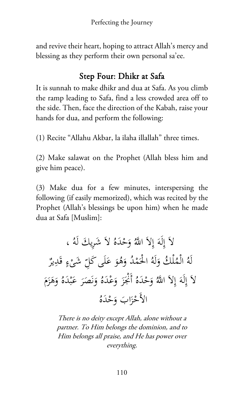and revive their heart, hoping to attract Allah's mercy and blessing as they perform their own personal sa'ee.

## Step Four: Dhikr at Safa

It is sunnah to make dhikr and dua at Safa. As you climb the ramp leading to Safa, find a less crowded area off to the side. Then, face the direction of the Kabah, raise your hands for dua, and perform the following:

(1) Recite "Allahu Akbar, la ilaha illallah" three times.

(2) Make salawat on the Prophet (Allah bless him and give him peace).

(3) Make dua for a few minutes, interspersing the following (if easily memorized), which was recited by the Prophet (Allah's blessings be upon him) when he made dua at Safa [Muslim]:

ُ يك لَه شِر َ َ َ ُ لا َه ْد َح ُ و َ َّ اهلل ِلا َ إ لَه ِ َ ، إ لا ٌ ِير َد ٍ ق ء ْ شى َ ِ ّ َ َى كل ل َ َ ع ُو َه ُ و ْد م َ ُ ْ الح لَه َ ْل ُك و ُ ْم ُ ال لَه َ م َ َز َه ُ و َه ْد ب َ َ ع َر َص ن َ ُ و َه ْد َع َ و َز ُ أَنجْ َه ْد َح ُ و َ َّ اهلل ِلا َ إ لَه ِ َ إ لا ُ َه ْد َح اب و َ َ ْز الأَح

There is no deity except Allah, alone without a partner. To Him belongs the dominion, and to Him belongs all praise, and He has power over everything.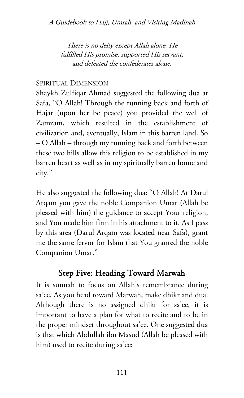There is no deity except Allah alone. He fulfilled His promise, supported His servant, and defeated the confederates alone.

#### SPIRITUAL DIMENSION

Shaykh Zulfiqar Ahmad suggested the following dua at Safa, "O Allah! Through the running back and forth of Hajar (upon her be peace) you provided the well of Zamzam, which resulted in the establishment of civilization and, eventually, Islam in this barren land. So – O Allah – through my running back and forth between these two hills allow this religion to be established in my barren heart as well as in my spiritually barren home and city."

He also suggested the following dua: "O Allah! At Darul Arqam you gave the noble Companion Umar (Allah be pleased with him) the guidance to accept Your religion, and You made him firm in his attachment to it. As I pass by this area (Darul Arqam was located near Safa), grant me the same fervor for Islam that You granted the noble Companion Umar."

## Step Five: Heading Toward Marwah

It is sunnah to focus on Allah's remembrance during sa'ee. As you head toward Marwah, make dhikr and dua. Although there is no assigned dhikr for sa'ee, it is important to have a plan for what to recite and to be in the proper mindset throughout sa'ee. One suggested dua is that which Abdullah ibn Masud (Allah be pleased with him) used to recite during sa'ee: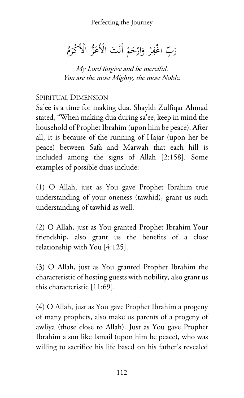Perfecting the Journey

َ رَبِّ اغْفِرْ وَارْحَمْ أَنْتَ الْأَعَزُّ الْأَكْرَمُ ر<br>.

My Lord forgive and be merciful. You are the most Mighty, the most Noble.

#### SPIRITUAL DIMENSION

Sa'ee is a time for making dua. Shaykh Zulfiqar Ahmad stated, "When making dua during sa'ee, keep in mind the household of Prophet Ibrahim (upon him be peace). After all, it is because of the running of Hajar (upon her be peace) between Safa and Marwah that each hill is included among the signs of Allah [2:158]. Some examples of possible duas include:

(1) O Allah, just as You gave Prophet Ibrahim true understanding of your oneness (tawhid), grant us such understanding of tawhid as well.

(2) O Allah, just as You granted Prophet Ibrahim Your friendship, also grant us the benefits of a close relationship with You [4:125].

(3) O Allah, just as You granted Prophet Ibrahim the characteristic of hosting guests with nobility, also grant us this characteristic [11:69].

(4) O Allah, just as You gave Prophet Ibrahim a progeny of many prophets, also make us parents of a progeny of awliya (those close to Allah). Just as You gave Prophet Ibrahim a son like Ismail (upon him be peace), who was willing to sacrifice his life based on his father's revealed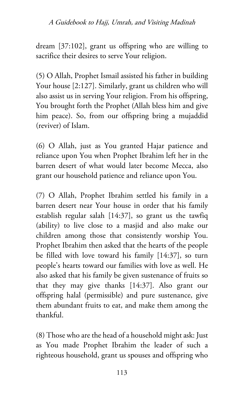dream [37:102], grant us offspring who are willing to sacrifice their desires to serve Your religion.

(5) O Allah, Prophet Ismail assisted his father in building Your house [2:127]. Similarly, grant us children who will also assist us in serving Your religion. From his offspring, You brought forth the Prophet (Allah bless him and give him peace). So, from our offspring bring a mujaddid (reviver) of Islam.

(6) O Allah, just as You granted Hajar patience and reliance upon You when Prophet Ibrahim left her in the barren desert of what would later become Mecca, also grant our household patience and reliance upon You.

(7) O Allah, Prophet Ibrahim settled his family in a barren desert near Your house in order that his family establish regular salah [14:37], so grant us the tawfiq (ability) to live close to a masjid and also make our children among those that consistently worship You. Prophet Ibrahim then asked that the hearts of the people be filled with love toward his family [14:37], so turn people's hearts toward our families with love as well. He also asked that his family be given sustenance of fruits so that they may give thanks [14:37]. Also grant our offspring halal (permissible) and pure sustenance, give them abundant fruits to eat, and make them among the thankful.

(8) Those who are the head of a household might ask: Just as You made Prophet Ibrahim the leader of such a righteous household, grant us spouses and offspring who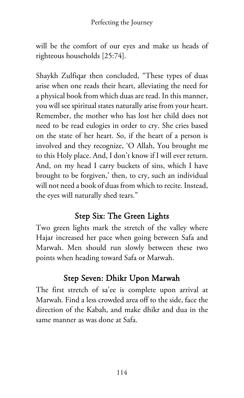will be the comfort of our eyes and make us heads of righteous households [25:74].

Shaykh Zulfiqar then concluded, "These types of duas arise when one reads their heart, alleviating the need for a physical book from which duas are read. In this manner, you will see spiritual states naturally arise from your heart. Remember, the mother who has lost her child does not need to be read eulogies in order to cry. She cries based on the state of her heart. So, if the heart of a person is involved and they recognize, 'O Allah, You brought me to this Holy place. And, I don't know if I will ever return. And, on my head I carry buckets of sins, which I have brought to be forgiven,' then, to cry, such an individual will not need a book of duas from which to recite. Instead, the eyes will naturally shed tears."

## Step Six: The Green Lights

Two green lights mark the stretch of the valley where Hajar increased her pace when going between Safa and Marwah. Men should run slowly between these two points when heading toward Safa or Marwah.

## Step Seven: Dhikr Upon Marwah

The first stretch of sa'ee is complete upon arrival at Marwah. Find a less crowded area off to the side, face the direction of the Kabah, and make dhikr and dua in the same manner as was done at Safa.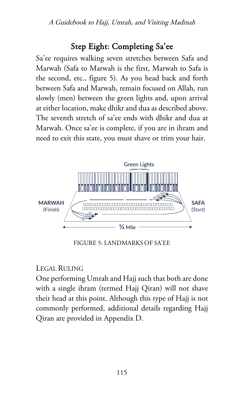## Step Eight: Completing Sa'ee

Sa'ee requires walking seven stretches between Safa and Marwah (Safa to Marwah is the first, Marwah to Safa is the second, etc., figure 5). As you head back and forth between Safa and Marwah, remain focused on Allah, run slowly (men) between the green lights and, upon arrival at either location, make dhikr and dua as described above. The seventh stretch of sa'ee ends with dhikr and dua at Marwah. Once sa'ee is complete, if you are in ihram and need to exit this state, you must shave or trim your hair.



FIGURE 5: LANDMARKS OF SA'EE

#### LEGAL RULING

One performing Umrah and Hajj such that both are done with a single ihram (termed Hajj Qiran) will not shave their head at this point. Although this type of Hajj is not commonly performed, additional details regarding Hajj Qiran are provided in Appendix D.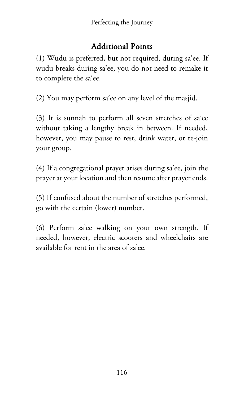## Additional Points

(1) Wudu is preferred, but not required, during sa'ee. If wudu breaks during sa'ee, you do not need to remake it to complete the sa'ee.

(2) You may perform sa'ee on any level of the masjid.

(3) It is sunnah to perform all seven stretches of sa'ee without taking a lengthy break in between. If needed, however, you may pause to rest, drink water, or re-join your group.

(4) If a congregational prayer arises during sa'ee, join the prayer at your location and then resume after prayer ends.

(5) If confused about the number of stretches performed, go with the certain (lower) number.

(6) Perform sa'ee walking on your own strength. If needed, however, electric scooters and wheelchairs are available for rent in the area of sa'ee.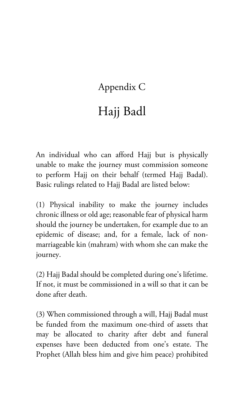# Appendix C

# Hajj Badl

An individual who can afford Hajj but is physically unable to make the journey must commission someone to perform Hajj on their behalf (termed Hajj Badal). Basic rulings related to Hajj Badal are listed below:

(1) Physical inability to make the journey includes chronic illness or old age; reasonable fear of physical harm should the journey be undertaken, for example due to an epidemic of disease; and, for a female, lack of nonmarriageable kin (mahram) with whom she can make the journey.

(2) Hajj Badal should be completed during one's lifetime. If not, it must be commissioned in a will so that it can be done after death.

(3) When commissioned through a will, Hajj Badal must be funded from the maximum one-third of assets that may be allocated to charity after debt and funeral expenses have been deducted from one's estate. The Prophet (Allah bless him and give him peace) prohibited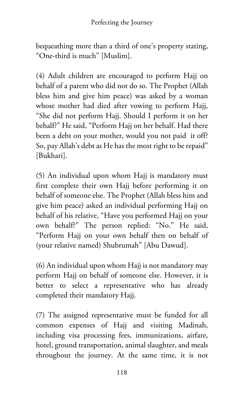bequeathing more than a third of one's property stating, "One-third is much" [Muslim].

(4) Adult children are encouraged to perform Hajj on behalf of a parent who did not do so. The Prophet (Allah bless him and give him peace) was asked by a woman whose mother had died after vowing to perform Hajj, "She did not perform Hajj. Should I perform it on her behalf?" He said, "Perform Hajj on her behalf. Had there been a debt on your mother, would you not paid it off? So, pay Allah's debt as He has the most right to be repaid" [Bukhari].

(5) An individual upon whom Hajj is mandatory must first complete their own Hajj before performing it on behalf of someone else. The Prophet (Allah bless him and give him peace) asked an individual performing Hajj on behalf of his relative, "Have you performed Hajj on your own behalf?" The person replied: "No." He said, "Perform Hajj on your own behalf then on behalf of (your relative named) Shubrumah" [Abu Dawud].

(6) An individual upon whom Hajj is not mandatory may perform Hajj on behalf of someone else. However, it is better to select a representative who has already completed their mandatory Hajj.

(7) The assigned representative must be funded for all common expenses of Hajj and visiting Madinah, including visa processing fees, immunizations, airfare, hotel, ground transportation, animal slaughter, and meals throughout the journey. At the same time, it is not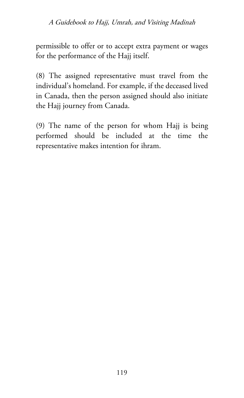permissible to offer or to accept extra payment or wages for the performance of the Hajj itself.

(8) The assigned representative must travel from the individual's homeland. For example, if the deceased lived in Canada, then the person assigned should also initiate the Hajj journey from Canada.

(9) The name of the person for whom Hajj is being performed should be included at the time the representative makes intention for ihram.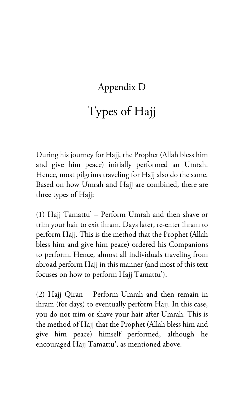# Appendix D

# Types of Hajj

During his journey for Hajj, the Prophet (Allah bless him and give him peace) initially performed an Umrah. Hence, most pilgrims traveling for Hajj also do the same. Based on how Umrah and Hajj are combined, there are three types of Hajj:

(1) Hajj Tamattu' – Perform Umrah and then shave or trim your hair to exit ihram. Days later, re-enter ihram to perform Hajj. This is the method that the Prophet (Allah bless him and give him peace) ordered his Companions to perform. Hence, almost all individuals traveling from abroad perform Hajj in this manner (and most of this text focuses on how to perform Hajj Tamattu').

(2) Hajj Qiran – Perform Umrah and then remain in ihram (for days) to eventually perform Hajj. In this case, you do not trim or shave your hair after Umrah. This is the method of Hajj that the Prophet (Allah bless him and give him peace) himself performed, although he encouraged Hajj Tamattu', as mentioned above.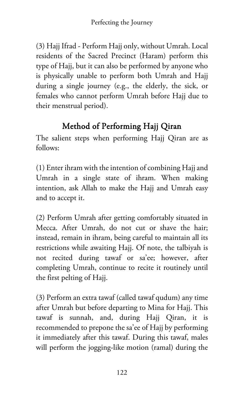(3) Hajj Ifrad - Perform Hajj only, without Umrah. Local residents of the Sacred Precinct (Haram) perform this type of Hajj, but it can also be performed by anyone who is physically unable to perform both Umrah and Hajj during a single journey (e.g., the elderly, the sick, or females who cannot perform Umrah before Hajj due to their menstrual period).

## Method of Performing Hajj Qiran

The salient steps when performing Hajj Qiran are as follows:

(1) Enter ihram with the intention of combining Hajj and Umrah in a single state of ihram. When making intention, ask Allah to make the Hajj and Umrah easy and to accept it.

(2) Perform Umrah after getting comfortably situated in Mecca. After Umrah, do not cut or shave the hair; instead, remain in ihram, being careful to maintain all its restrictions while awaiting Hajj. Of note, the talbiyah is not recited during tawaf or sa'ee; however, after completing Umrah, continue to recite it routinely until the first pelting of Hajj.

(3) Perform an extra tawaf (called tawaf qudum) any time after Umrah but before departing to Mina for Hajj. This tawaf is sunnah, and, during Hajj Qiran, it is recommended to prepone the sa'ee of Hajj by performing it immediately after this tawaf. During this tawaf, males will perform the jogging-like motion (ramal) during the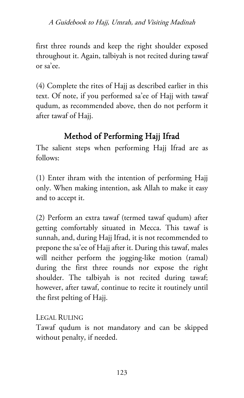first three rounds and keep the right shoulder exposed throughout it. Again, talbiyah is not recited during tawaf or sa'ee.

(4) Complete the rites of Hajj as described earlier in this text. Of note, if you performed sa'ee of Hajj with tawaf qudum, as recommended above, then do not perform it after tawaf of Hajj.

## Method of Performing Hajj Ifrad

The salient steps when performing Hajj Ifrad are as follows:

(1) Enter ihram with the intention of performing Hajj only. When making intention, ask Allah to make it easy and to accept it.

(2) Perform an extra tawaf (termed tawaf qudum) after getting comfortably situated in Mecca. This tawaf is sunnah, and, during Hajj Ifrad, it is not recommended to prepone the sa'ee of Hajj after it. During this tawaf, males will neither perform the jogging-like motion (ramal) during the first three rounds nor expose the right shoulder. The talbiyah is not recited during tawaf; however, after tawaf, continue to recite it routinely until the first pelting of Hajj.

LEGAL RULING

Tawaf qudum is not mandatory and can be skipped without penalty, if needed.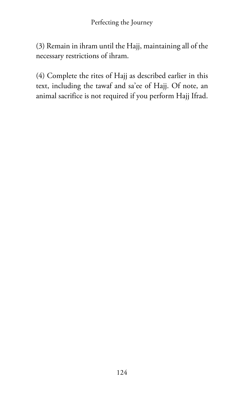(3) Remain in ihram until the Hajj, maintaining all of the necessary restrictions of ihram.

(4) Complete the rites of Hajj as described earlier in this text, including the tawaf and sa'ee of Hajj. Of note, an animal sacrifice is not required if you perform Hajj Ifrad.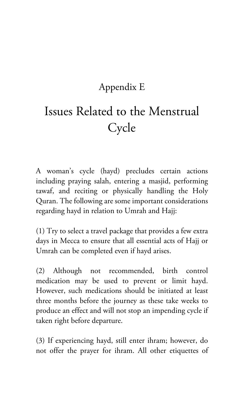# Appendix E

# Issues Related to the Menstrual Cycle

A woman's cycle (hayd) precludes certain actions including praying salah, entering a masjid, performing tawaf, and reciting or physically handling the Holy Quran. The following are some important considerations regarding hayd in relation to Umrah and Hajj:

(1) Try to select a travel package that provides a few extra days in Mecca to ensure that all essential acts of Hajj or Umrah can be completed even if hayd arises.

(2) Although not recommended, birth control medication may be used to prevent or limit hayd. However, such medications should be initiated at least three months before the journey as these take weeks to produce an effect and will not stop an impending cycle if taken right before departure.

(3) If experiencing hayd, still enter ihram; however, do not offer the prayer for ihram. All other etiquettes of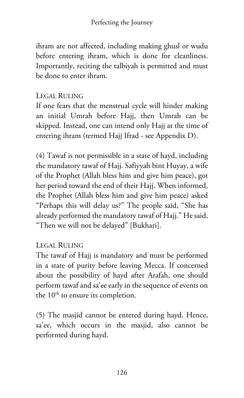ihram are not affected, including making ghusl or wudu before entering ihram, which is done for cleanliness. Importantly, reciting the talbiyah is permitted and must be done to enter ihram.

#### LEGAL RULING

If one fears that the menstrual cycle will hinder making an initial Umrah before Hajj, then Umrah can be skipped. Instead, one can intend only Hajj at the time of entering ihram (termed Hajj Ifrad - see Appendix D).

(4) Tawaf is not permissible in a state of hayd, including the mandatory tawaf of Hajj. Safiyyah bint Huyay, a wife of the Prophet (Allah bless him and give him peace), got her period toward the end of their Hajj. When informed, the Prophet (Allah bless him and give him peace) asked "Perhaps this will delay us?" The people said, "She has already performed the mandatory tawaf of Hajj." He said, "Then we will not be delayed" [Bukhari].

#### LEGAL RULING

The tawaf of Hajj is mandatory and must be performed in a state of purity before leaving Mecca. If concerned about the possibility of hayd after Arafah, one should perform tawaf and sa'ee early in the sequence of events on the  $10<sup>th</sup>$  to ensure its completion.

(5) The masjid cannot be entered during hayd. Hence, sa'ee, which occurs in the masjid, also cannot be performed during hayd.